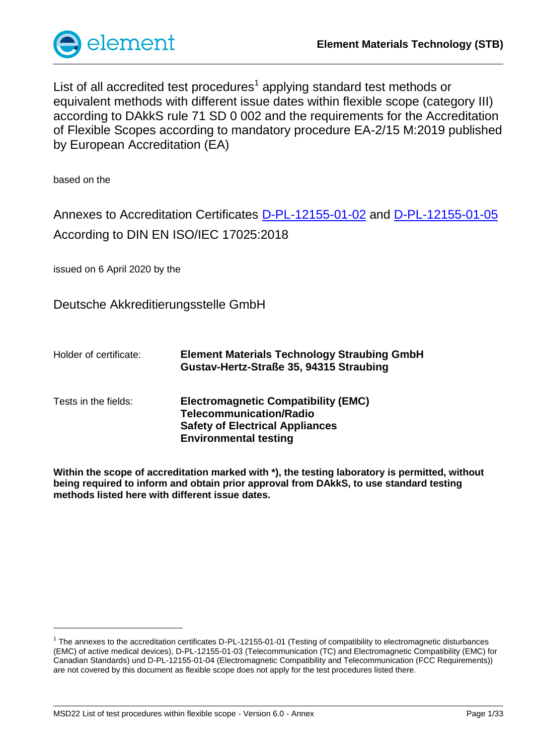

List of all accredited test procedures<sup>1</sup> applying standard test methods or equivalent methods with different issue dates within flexible scope (category III) according to DAkkS rule 71 SD 0 002 and the requirements for the Accreditation of Flexible Scopes according to mandatory procedure EA-2/15 M:2019 published by European Accreditation (EA)

based on the

l

Annexes to Accreditation Certificates [D-PL-12155-01-02](https://www.dakks.de/files/data/as/pdf/D-PL-12155-01-02.pdf) and [D-PL-12155-01-05](https://www.dakks.de/files/data/as/pdf/D-PL-12155-01-05.pdf) According to DIN EN ISO/IEC 17025:2018

issued on 6 April 2020 by the

Deutsche Akkreditierungsstelle GmbH

Holder of certificate: **Element Materials Technology Straubing GmbH Gustav-Hertz-Straße 35, 94315 Straubing** Tests in the fields: **Electromagnetic Compatibility (EMC) Telecommunication/Radio Safety of Electrical Appliances Environmental testing**

**Within the scope of accreditation marked with \*), the testing laboratory is permitted, without being required to inform and obtain prior approval from DAkkS, to use standard testing methods listed here with different issue dates.**

<sup>&</sup>lt;sup>1</sup> The annexes to the accreditation certificates D-PL-12155-01-01 (Testing of compatibility to electromagnetic disturbances (EMC) of active medical devices), D-PL-12155-01-03 (Telecommunication (TC) and Electromagnetic Compatibility (EMC) for Canadian Standards) und D-PL-12155-01-04 (Electromagnetic Compatibility and Telecommunication (FCC Requirements)) are not covered by this document as flexible scope does not apply for the test procedures listed there.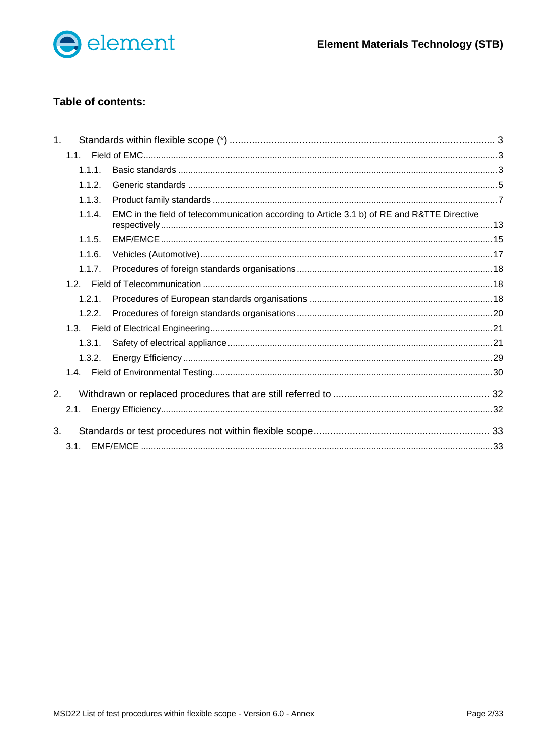

# Table of contents:

| 1 <sub>1</sub> |        |                                                                                             |  |
|----------------|--------|---------------------------------------------------------------------------------------------|--|
|                | 1.1.   |                                                                                             |  |
|                | 1.1.1. |                                                                                             |  |
|                | 1.1.2. |                                                                                             |  |
|                | 1.1.3. |                                                                                             |  |
|                | 1.1.4. | EMC in the field of telecommunication according to Article 3.1 b) of RE and R&TTE Directive |  |
|                | 1.1.5. |                                                                                             |  |
|                | 1.1.6. |                                                                                             |  |
|                | 1.1.7. |                                                                                             |  |
|                |        |                                                                                             |  |
|                | 1.2.1. |                                                                                             |  |
|                | 1.2.2. |                                                                                             |  |
|                |        |                                                                                             |  |
|                | 1.3.1. |                                                                                             |  |
|                | 1.3.2. |                                                                                             |  |
|                |        |                                                                                             |  |
| 2.             |        |                                                                                             |  |
|                | 2.1.   |                                                                                             |  |
| 3.             |        |                                                                                             |  |
|                | 3.1.   |                                                                                             |  |
|                |        |                                                                                             |  |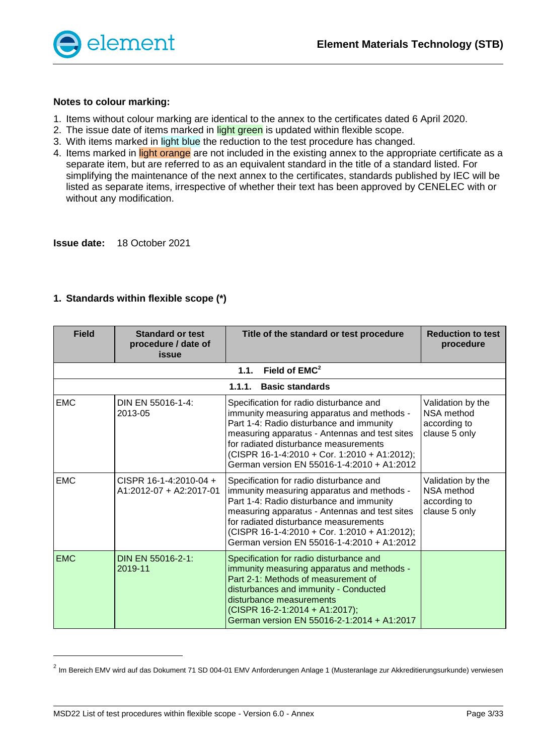

#### **Notes to colour marking:**

- 1. Items without colour marking are identical to the annex to the certificates dated 6 April 2020.
- 2. The issue date of items marked in light green is updated within flexible scope.
- 3. With items marked in light blue the reduction to the test procedure has changed.
- 4. Items marked in light orange are not included in the existing annex to the appropriate certificate as a separate item, but are referred to as an equivalent standard in the title of a standard listed. For simplifying the maintenance of the next annex to the certificates, standards published by IEC will be listed as separate items, irrespective of whether their text has been approved by CENELEC with or without any modification.

**Issue date:** 18 October 2021

<span id="page-2-2"></span><span id="page-2-1"></span>

| <b>Field</b> | <b>Standard or test</b><br>procedure / date of<br>issue | Title of the standard or test procedure                                                                                                                                                                                                                                                                                   | <b>Reduction to test</b><br>procedure                                   |
|--------------|---------------------------------------------------------|---------------------------------------------------------------------------------------------------------------------------------------------------------------------------------------------------------------------------------------------------------------------------------------------------------------------------|-------------------------------------------------------------------------|
|              |                                                         | Field of EMC <sup>2</sup><br>1.1.                                                                                                                                                                                                                                                                                         |                                                                         |
|              |                                                         | 1.1.1.<br><b>Basic standards</b>                                                                                                                                                                                                                                                                                          |                                                                         |
| <b>EMC</b>   | DIN EN 55016-1-4:<br>2013-05                            | Specification for radio disturbance and<br>immunity measuring apparatus and methods -<br>Part 1-4: Radio disturbance and immunity<br>measuring apparatus - Antennas and test sites<br>for radiated disturbance measurements<br>(CISPR 16-1-4:2010 + Cor. 1:2010 + A1:2012);<br>German version EN 55016-1-4:2010 + A1:2012 | Validation by the<br><b>NSA</b> method<br>according to<br>clause 5 only |
| <b>EMC</b>   | CISPR 16-1-4:2010-04 +<br>A1:2012-07 + A2:2017-01       | Specification for radio disturbance and<br>immunity measuring apparatus and methods -<br>Part 1-4: Radio disturbance and immunity<br>measuring apparatus - Antennas and test sites<br>for radiated disturbance measurements<br>(CISPR 16-1-4:2010 + Cor. 1:2010 + A1:2012);<br>German version EN 55016-1-4:2010 + A1:2012 | Validation by the<br>NSA method<br>according to<br>clause 5 only        |
| <b>EMC</b>   | DIN EN 55016-2-1:<br>2019-11                            | Specification for radio disturbance and<br>immunity measuring apparatus and methods -<br>Part 2-1: Methods of measurement of<br>disturbances and immunity - Conducted<br>disturbance measurements<br>(CISPR 16-2-1:2014 + A1:2017);<br>German version EN 55016-2-1:2014 + A1:2017                                         |                                                                         |

### <span id="page-2-0"></span>**1. Standards within flexible scope (\*)**

l

<sup>&</sup>lt;sup>2</sup> Im Bereich EMV wird auf das Dokument 71 SD 004-01 EMV Anforderungen Anlage 1 (Musteranlage zur Akkreditierungsurkunde) verwiesen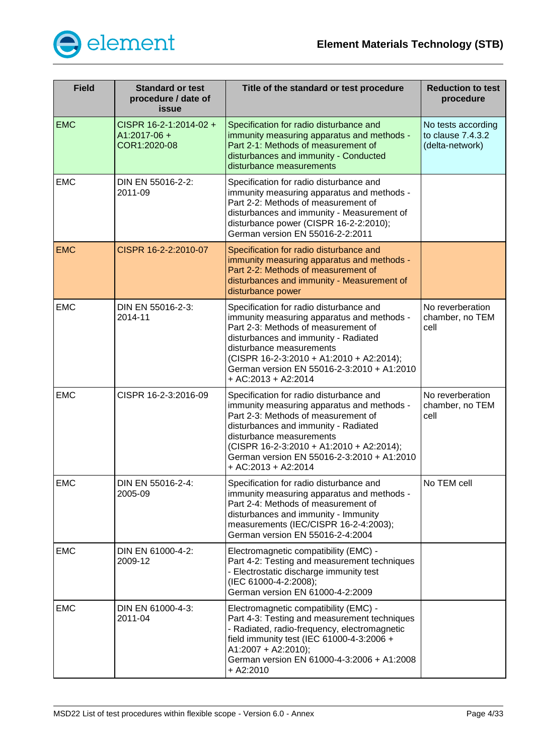

| <b>Field</b> | <b>Standard or test</b><br>procedure / date of<br>issue  | Title of the standard or test procedure                                                                                                                                                                                                                                                                             | <b>Reduction to test</b><br>procedure                      |
|--------------|----------------------------------------------------------|---------------------------------------------------------------------------------------------------------------------------------------------------------------------------------------------------------------------------------------------------------------------------------------------------------------------|------------------------------------------------------------|
| <b>EMC</b>   | CISPR 16-2-1:2014-02 +<br>$A1:2017-06 +$<br>COR1:2020-08 | Specification for radio disturbance and<br>immunity measuring apparatus and methods -<br>Part 2-1: Methods of measurement of<br>disturbances and immunity - Conducted<br>disturbance measurements                                                                                                                   | No tests according<br>to clause 7.4.3.2<br>(delta-network) |
| <b>EMC</b>   | DIN EN 55016-2-2:<br>2011-09                             | Specification for radio disturbance and<br>immunity measuring apparatus and methods -<br>Part 2-2: Methods of measurement of<br>disturbances and immunity - Measurement of<br>disturbance power (CISPR 16-2-2:2010);<br>German version EN 55016-2-2:2011                                                            |                                                            |
| <b>EMC</b>   | CISPR 16-2-2:2010-07                                     | Specification for radio disturbance and<br>immunity measuring apparatus and methods -<br>Part 2-2: Methods of measurement of<br>disturbances and immunity - Measurement of<br>disturbance power                                                                                                                     |                                                            |
| <b>EMC</b>   | DIN EN 55016-2-3:<br>2014-11                             | Specification for radio disturbance and<br>immunity measuring apparatus and methods -<br>Part 2-3: Methods of measurement of<br>disturbances and immunity - Radiated<br>disturbance measurements<br>(CISPR 16-2-3:2010 + A1:2010 + A2:2014);<br>German version EN 55016-2-3:2010 + A1:2010<br>$+ AC:2013 + A2:2014$ | No reverberation<br>chamber, no TEM<br>cell                |
| <b>EMC</b>   | CISPR 16-2-3:2016-09                                     | Specification for radio disturbance and<br>immunity measuring apparatus and methods -<br>Part 2-3: Methods of measurement of<br>disturbances and immunity - Radiated<br>disturbance measurements<br>(CISPR 16-2-3:2010 + A1:2010 + A2:2014);<br>German version EN 55016-2-3:2010 + A1:2010<br>+ AC:2013 + A2:2014   | No reverberation<br>chamber, no TEM<br>cell                |
| <b>EMC</b>   | DIN EN 55016-2-4:<br>2005-09                             | Specification for radio disturbance and<br>immunity measuring apparatus and methods -<br>Part 2-4: Methods of measurement of<br>disturbances and immunity - Immunity<br>measurements (IEC/CISPR 16-2-4:2003);<br>German version EN 55016-2-4:2004                                                                   | No TEM cell                                                |
| <b>EMC</b>   | DIN EN 61000-4-2:<br>2009-12                             | Electromagnetic compatibility (EMC) -<br>Part 4-2: Testing and measurement techniques<br>- Electrostatic discharge immunity test<br>(IEC 61000-4-2:2008);<br>German version EN 61000-4-2:2009                                                                                                                       |                                                            |
| <b>EMC</b>   | DIN EN 61000-4-3:<br>2011-04                             | Electromagnetic compatibility (EMC) -<br>Part 4-3: Testing and measurement techniques<br>- Radiated, radio-frequency, electromagnetic<br>field immunity test (IEC 61000-4-3:2006 +<br>A1:2007 + A2:2010);<br>German version EN 61000-4-3:2006 + A1:2008<br>$+$ A2:2010                                              |                                                            |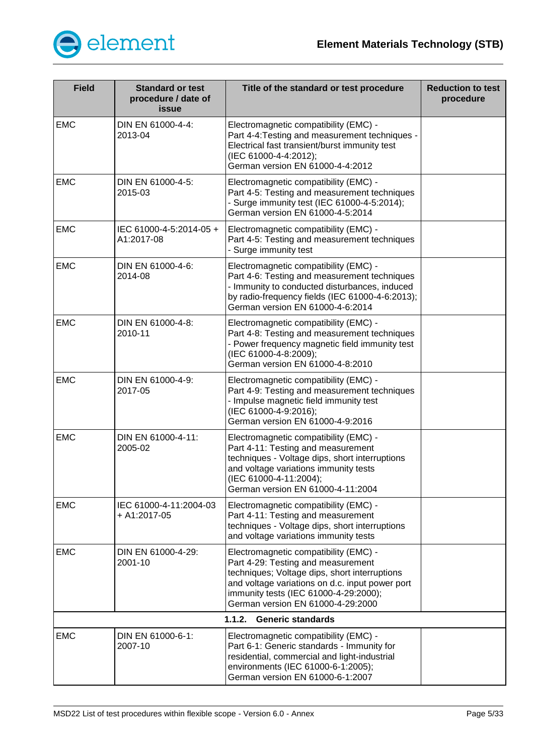

<span id="page-4-0"></span>

| <b>Field</b> | <b>Standard or test</b><br>procedure / date of<br>issue | Title of the standard or test procedure                                                                                                                                                                                                                       | <b>Reduction to test</b><br>procedure |  |  |
|--------------|---------------------------------------------------------|---------------------------------------------------------------------------------------------------------------------------------------------------------------------------------------------------------------------------------------------------------------|---------------------------------------|--|--|
| <b>EMC</b>   | DIN EN 61000-4-4:<br>2013-04                            | Electromagnetic compatibility (EMC) -<br>Part 4-4: Testing and measurement techniques -<br>Electrical fast transient/burst immunity test<br>(IEC 61000-4-4:2012);<br>German version EN 61000-4-4:2012                                                         |                                       |  |  |
| <b>EMC</b>   | DIN EN 61000-4-5:<br>2015-03                            | Electromagnetic compatibility (EMC) -<br>Part 4-5: Testing and measurement techniques<br>- Surge immunity test (IEC 61000-4-5:2014);<br>German version EN 61000-4-5:2014                                                                                      |                                       |  |  |
| <b>EMC</b>   | IEC 61000-4-5:2014-05 +<br>A1:2017-08                   | Electromagnetic compatibility (EMC) -<br>Part 4-5: Testing and measurement techniques<br>- Surge immunity test                                                                                                                                                |                                       |  |  |
| <b>EMC</b>   | DIN EN 61000-4-6:<br>2014-08                            | Electromagnetic compatibility (EMC) -<br>Part 4-6: Testing and measurement techniques<br>- Immunity to conducted disturbances, induced<br>by radio-frequency fields (IEC 61000-4-6:2013);<br>German version EN 61000-4-6:2014                                 |                                       |  |  |
| <b>EMC</b>   | DIN EN 61000-4-8:<br>2010-11                            | Electromagnetic compatibility (EMC) -<br>Part 4-8: Testing and measurement techniques<br>- Power frequency magnetic field immunity test<br>(IEC 61000-4-8:2009);<br>German version EN 61000-4-8:2010                                                          |                                       |  |  |
| <b>EMC</b>   | DIN EN 61000-4-9:<br>2017-05                            | Electromagnetic compatibility (EMC) -<br>Part 4-9: Testing and measurement techniques<br>- Impulse magnetic field immunity test<br>(IEC 61000-4-9:2016);<br>German version EN 61000-4-9:2016                                                                  |                                       |  |  |
| <b>EMC</b>   | DIN EN 61000-4-11:<br>2005-02                           | Electromagnetic compatibility (EMC) -<br>Part 4-11: Testing and measurement<br>techniques - Voltage dips, short interruptions<br>and voltage variations immunity tests<br>(IEC 61000-4-11:2004);<br>German version EN 61000-4-11:2004                         |                                       |  |  |
| <b>EMC</b>   | IEC 61000-4-11:2004-03<br>+ A1:2017-05                  | Electromagnetic compatibility (EMC) -<br>Part 4-11: Testing and measurement<br>techniques - Voltage dips, short interruptions<br>and voltage variations immunity tests                                                                                        |                                       |  |  |
| <b>EMC</b>   | DIN EN 61000-4-29:<br>2001-10                           | Electromagnetic compatibility (EMC) -<br>Part 4-29: Testing and measurement<br>techniques; Voltage dips, short interruptions<br>and voltage variations on d.c. input power port<br>immunity tests (IEC 61000-4-29:2000);<br>German version EN 61000-4-29:2000 |                                       |  |  |
|              | 1.1.2.<br><b>Generic standards</b>                      |                                                                                                                                                                                                                                                               |                                       |  |  |
| <b>EMC</b>   | DIN EN 61000-6-1:<br>2007-10                            | Electromagnetic compatibility (EMC) -<br>Part 6-1: Generic standards - Immunity for<br>residential, commercial and light-industrial<br>environments (IEC 61000-6-1:2005);<br>German version EN 61000-6-1:2007                                                 |                                       |  |  |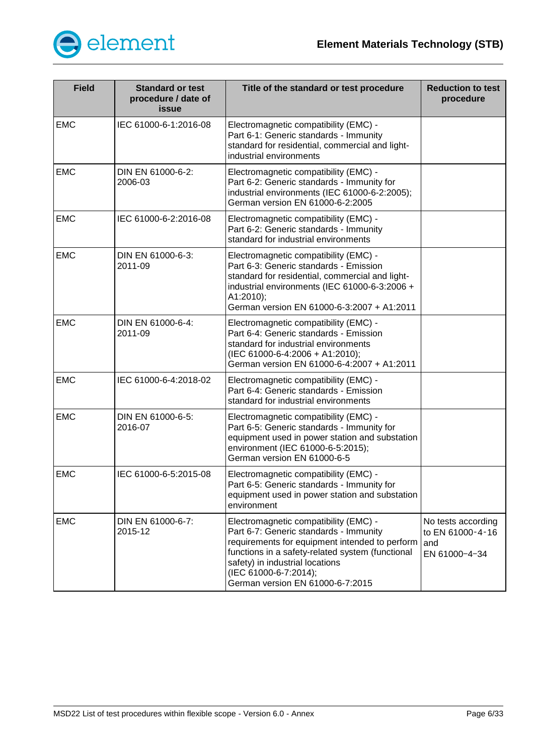

| <b>Field</b> | <b>Standard or test</b><br>procedure / date of<br>issue | Title of the standard or test procedure                                                                                                                                                                                                                                               | <b>Reduction to test</b><br>procedure                           |
|--------------|---------------------------------------------------------|---------------------------------------------------------------------------------------------------------------------------------------------------------------------------------------------------------------------------------------------------------------------------------------|-----------------------------------------------------------------|
| <b>EMC</b>   | IEC 61000-6-1:2016-08                                   | Electromagnetic compatibility (EMC) -<br>Part 6-1: Generic standards - Immunity<br>standard for residential, commercial and light-<br>industrial environments                                                                                                                         |                                                                 |
| <b>EMC</b>   | DIN EN 61000-6-2:<br>2006-03                            | Electromagnetic compatibility (EMC) -<br>Part 6-2: Generic standards - Immunity for<br>industrial environments (IEC 61000-6-2:2005);<br>German version EN 61000-6-2:2005                                                                                                              |                                                                 |
| <b>EMC</b>   | IEC 61000-6-2:2016-08                                   | Electromagnetic compatibility (EMC) -<br>Part 6-2: Generic standards - Immunity<br>standard for industrial environments                                                                                                                                                               |                                                                 |
| <b>EMC</b>   | DIN EN 61000-6-3:<br>2011-09                            | Electromagnetic compatibility (EMC) -<br>Part 6-3: Generic standards - Emission<br>standard for residential, commercial and light-<br>industrial environments (IEC 61000-6-3:2006 +<br>A1:2010);<br>German version EN 61000-6-3:2007 + A1:2011                                        |                                                                 |
| <b>EMC</b>   | DIN EN 61000-6-4:<br>2011-09                            | Electromagnetic compatibility (EMC) -<br>Part 6-4: Generic standards - Emission<br>standard for industrial environments<br>(IEC 61000-6-4:2006 + A1:2010);<br>German version EN 61000-6-4:2007 + A1:2011                                                                              |                                                                 |
| <b>EMC</b>   | IEC 61000-6-4:2018-02                                   | Electromagnetic compatibility (EMC) -<br>Part 6-4: Generic standards - Emission<br>standard for industrial environments                                                                                                                                                               |                                                                 |
| <b>EMC</b>   | DIN EN 61000-6-5:<br>2016-07                            | Electromagnetic compatibility (EMC) -<br>Part 6-5: Generic standards - Immunity for<br>equipment used in power station and substation<br>environment (IEC 61000-6-5:2015);<br>German version EN 61000-6-5                                                                             |                                                                 |
| <b>EMC</b>   | IEC 61000-6-5:2015-08                                   | Electromagnetic compatibility (EMC) -<br>Part 6-5: Generic standards - Immunity for<br>equipment used in power station and substation<br>environment                                                                                                                                  |                                                                 |
| <b>EMC</b>   | DIN EN 61000-6-7:<br>2015-12                            | Electromagnetic compatibility (EMC) -<br>Part 6-7: Generic standards - Immunity<br>requirements for equipment intended to perform<br>functions in a safety-related system (functional<br>safety) in industrial locations<br>(IEC 61000-6-7:2014);<br>German version EN 61000-6-7:2015 | No tests according<br>to EN 61000-4-16<br>land<br>EN 61000-4-34 |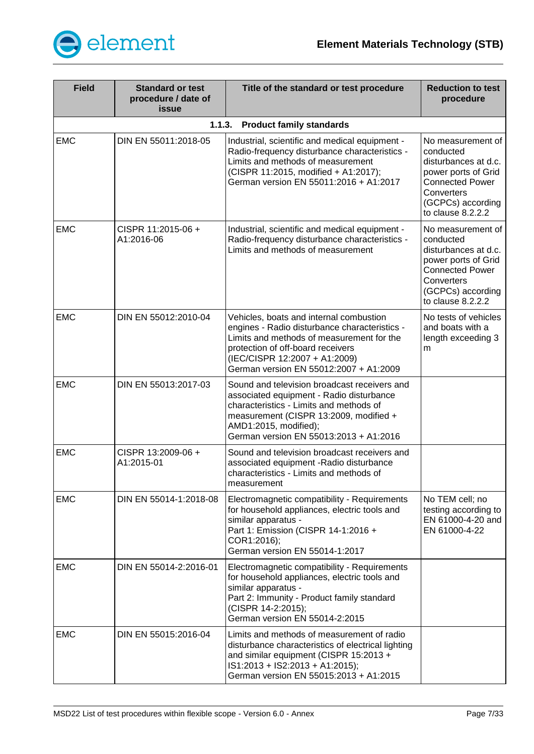

<span id="page-6-0"></span>

| <b>Field</b> | <b>Standard or test</b><br>procedure / date of<br>issue | Title of the standard or test procedure                                                                                                                                                                                                               | <b>Reduction to test</b><br>procedure                                                                                                                           |
|--------------|---------------------------------------------------------|-------------------------------------------------------------------------------------------------------------------------------------------------------------------------------------------------------------------------------------------------------|-----------------------------------------------------------------------------------------------------------------------------------------------------------------|
|              | 1.1.3.                                                  | <b>Product family standards</b>                                                                                                                                                                                                                       |                                                                                                                                                                 |
| <b>EMC</b>   | DIN EN 55011:2018-05                                    | Industrial, scientific and medical equipment -<br>Radio-frequency disturbance characteristics -<br>Limits and methods of measurement<br>(CISPR 11:2015, modified + A1:2017);<br>German version EN 55011:2016 + A1:2017                                | No measurement of<br>conducted<br>disturbances at d.c.<br>power ports of Grid<br><b>Connected Power</b><br>Converters<br>(GCPCs) according<br>to clause 8.2.2.2 |
| <b>EMC</b>   | CISPR 11:2015-06 +<br>A1:2016-06                        | Industrial, scientific and medical equipment -<br>Radio-frequency disturbance characteristics -<br>Limits and methods of measurement                                                                                                                  | No measurement of<br>conducted<br>disturbances at d.c.<br>power ports of Grid<br><b>Connected Power</b><br>Converters<br>(GCPCs) according<br>to clause 8.2.2.2 |
| <b>EMC</b>   | DIN EN 55012:2010-04                                    | Vehicles, boats and internal combustion<br>engines - Radio disturbance characteristics -<br>Limits and methods of measurement for the<br>protection of off-board receivers<br>(IEC/CISPR 12:2007 + A1:2009)<br>German version EN 55012:2007 + A1:2009 | No tests of vehicles<br>and boats with a<br>length exceeding 3<br>m                                                                                             |
| <b>EMC</b>   | DIN EN 55013:2017-03                                    | Sound and television broadcast receivers and<br>associated equipment - Radio disturbance<br>characteristics - Limits and methods of<br>measurement (CISPR 13:2009, modified +<br>AMD1:2015, modified);<br>German version EN 55013:2013 + A1:2016      |                                                                                                                                                                 |
| <b>EMC</b>   | CISPR 13:2009-06+<br>A1:2015-01                         | Sound and television broadcast receivers and<br>associated equipment - Radio disturbance<br>characteristics - Limits and methods of<br>measurement                                                                                                    |                                                                                                                                                                 |
| <b>EMC</b>   | DIN EN 55014-1:2018-08                                  | Electromagnetic compatibility - Requirements<br>for household appliances, electric tools and<br>similar apparatus -<br>Part 1: Emission (CISPR 14-1:2016 +<br>COR1:2016);<br>German version EN 55014-1:2017                                           | No TEM cell; no<br>testing according to<br>EN 61000-4-20 and<br>EN 61000-4-22                                                                                   |
| <b>EMC</b>   | DIN EN 55014-2:2016-01                                  | Electromagnetic compatibility - Requirements<br>for household appliances, electric tools and<br>similar apparatus -<br>Part 2: Immunity - Product family standard<br>(CISPR 14-2:2015);<br>German version EN 55014-2:2015                             |                                                                                                                                                                 |
| <b>EMC</b>   | DIN EN 55015:2016-04                                    | Limits and methods of measurement of radio<br>disturbance characteristics of electrical lighting<br>and similar equipment (CISPR 15:2013 +<br>IS1:2013 + IS2:2013 + A1:2015);<br>German version EN 55015:2013 + A1:2015                               |                                                                                                                                                                 |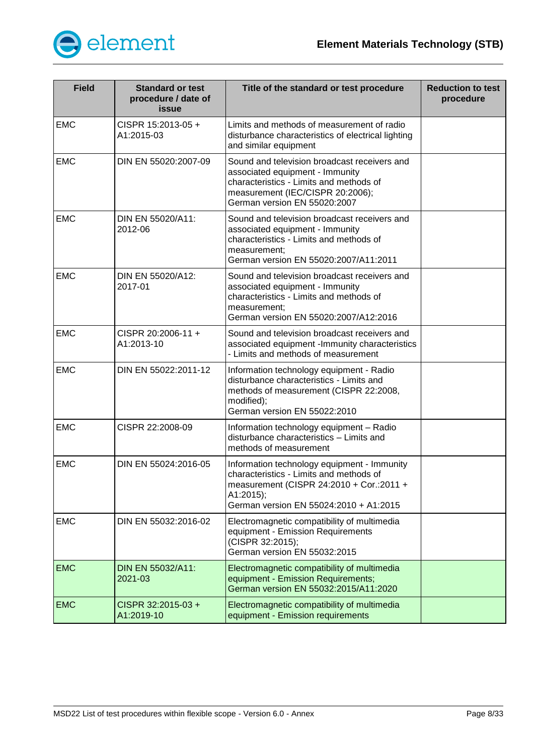

| <b>Field</b> | <b>Standard or test</b><br>procedure / date of<br>issue | Title of the standard or test procedure                                                                                                                                                        | <b>Reduction to test</b><br>procedure |
|--------------|---------------------------------------------------------|------------------------------------------------------------------------------------------------------------------------------------------------------------------------------------------------|---------------------------------------|
| <b>EMC</b>   | CISPR 15:2013-05 +<br>A1:2015-03                        | Limits and methods of measurement of radio<br>disturbance characteristics of electrical lighting<br>and similar equipment                                                                      |                                       |
| <b>EMC</b>   | DIN EN 55020:2007-09                                    | Sound and television broadcast receivers and<br>associated equipment - Immunity<br>characteristics - Limits and methods of<br>measurement (IEC/CISPR 20:2006);<br>German version EN 55020:2007 |                                       |
| <b>EMC</b>   | DIN EN 55020/A11:<br>2012-06                            | Sound and television broadcast receivers and<br>associated equipment - Immunity<br>characteristics - Limits and methods of<br>measurement;<br>German version EN 55020:2007/A11:2011            |                                       |
| <b>EMC</b>   | DIN EN 55020/A12:<br>2017-01                            | Sound and television broadcast receivers and<br>associated equipment - Immunity<br>characteristics - Limits and methods of<br>measurement:<br>German version EN 55020:2007/A12:2016            |                                       |
| <b>EMC</b>   | CISPR 20:2006-11 +<br>A1:2013-10                        | Sound and television broadcast receivers and<br>associated equipment -Immunity characteristics<br>- Limits and methods of measurement                                                          |                                       |
| <b>EMC</b>   | DIN EN 55022:2011-12                                    | Information technology equipment - Radio<br>disturbance characteristics - Limits and<br>methods of measurement (CISPR 22:2008,<br>modified);<br>German version EN 55022:2010                   |                                       |
| <b>EMC</b>   | CISPR 22:2008-09                                        | Information technology equipment - Radio<br>disturbance characteristics - Limits and<br>methods of measurement                                                                                 |                                       |
| <b>EMC</b>   | DIN EN 55024:2016-05                                    | Information technology equipment - Immunity<br>characteristics - Limits and methods of<br>measurement (CISPR 24:2010 + Cor.:2011 +<br>A1:2015);<br>German version EN 55024:2010 + A1:2015      |                                       |
| <b>EMC</b>   | DIN EN 55032:2016-02                                    | Electromagnetic compatibility of multimedia<br>equipment - Emission Requirements<br>(CISPR 32:2015);<br>German version EN 55032:2015                                                           |                                       |
| <b>EMC</b>   | DIN EN 55032/A11:<br>2021-03                            | Electromagnetic compatibility of multimedia<br>equipment - Emission Requirements;<br>German version EN 55032:2015/A11:2020                                                                     |                                       |
| <b>EMC</b>   | CISPR 32:2015-03 +<br>A1:2019-10                        | Electromagnetic compatibility of multimedia<br>equipment - Emission requirements                                                                                                               |                                       |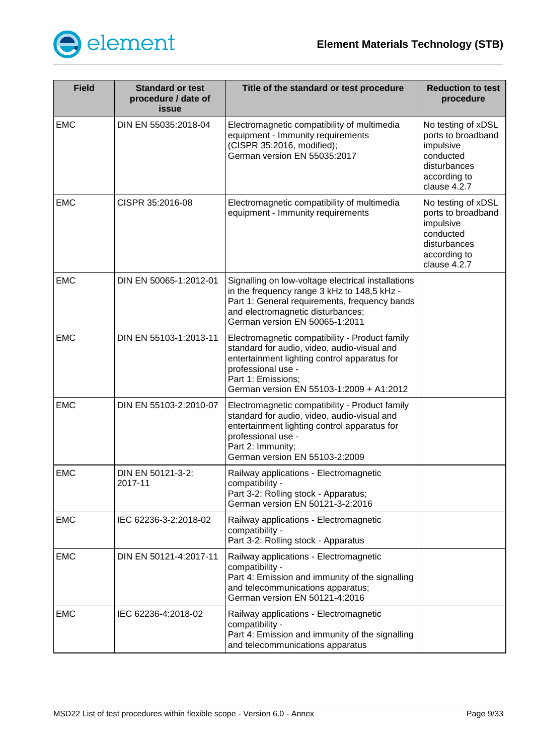

| <b>Field</b> | <b>Standard or test</b><br>procedure / date of<br>issue | Title of the standard or test procedure                                                                                                                                                                                               | <b>Reduction to test</b><br>procedure                                                                              |
|--------------|---------------------------------------------------------|---------------------------------------------------------------------------------------------------------------------------------------------------------------------------------------------------------------------------------------|--------------------------------------------------------------------------------------------------------------------|
| <b>EMC</b>   | DIN EN 55035:2018-04                                    | Electromagnetic compatibility of multimedia<br>equipment - Immunity requirements<br>(CISPR 35:2016, modified);<br>German version EN 55035:2017                                                                                        | No testing of xDSL<br>ports to broadband<br>impulsive<br>conducted<br>disturbances<br>according to<br>clause 4.2.7 |
| <b>EMC</b>   | CISPR 35:2016-08                                        | Electromagnetic compatibility of multimedia<br>equipment - Immunity requirements                                                                                                                                                      | No testing of xDSL<br>ports to broadband<br>impulsive<br>conducted<br>disturbances<br>according to<br>clause 4.2.7 |
| <b>EMC</b>   | DIN EN 50065-1:2012-01                                  | Signalling on low-voltage electrical installations<br>in the frequency range 3 kHz to 148,5 kHz -<br>Part 1: General requirements, frequency bands<br>and electromagnetic disturbances;<br>German version EN 50065-1:2011             |                                                                                                                    |
| <b>EMC</b>   | DIN EN 55103-1:2013-11                                  | Electromagnetic compatibility - Product family<br>standard for audio, video, audio-visual and<br>entertainment lighting control apparatus for<br>professional use -<br>Part 1: Emissions;<br>German version EN 55103-1:2009 + A1:2012 |                                                                                                                    |
| <b>EMC</b>   | DIN EN 55103-2:2010-07                                  | Electromagnetic compatibility - Product family<br>standard for audio, video, audio-visual and<br>entertainment lighting control apparatus for<br>professional use -<br>Part 2: Immunity;<br>German version EN 55103-2:2009            |                                                                                                                    |
| <b>EMC</b>   | DIN EN 50121-3-2:<br>2017-11                            | Railway applications - Electromagnetic<br>compatibility -<br>Part 3-2: Rolling stock - Apparatus;<br>German version EN 50121-3-2:2016                                                                                                 |                                                                                                                    |
| <b>EMC</b>   | IEC 62236-3-2:2018-02                                   | Railway applications - Electromagnetic<br>compatibility -<br>Part 3-2: Rolling stock - Apparatus                                                                                                                                      |                                                                                                                    |
| <b>EMC</b>   | DIN EN 50121-4:2017-11                                  | Railway applications - Electromagnetic<br>compatibility -<br>Part 4: Emission and immunity of the signalling<br>and telecommunications apparatus;<br>German version EN 50121-4:2016                                                   |                                                                                                                    |
| <b>EMC</b>   | IEC 62236-4:2018-02                                     | Railway applications - Electromagnetic<br>compatibility -<br>Part 4: Emission and immunity of the signalling<br>and telecommunications apparatus                                                                                      |                                                                                                                    |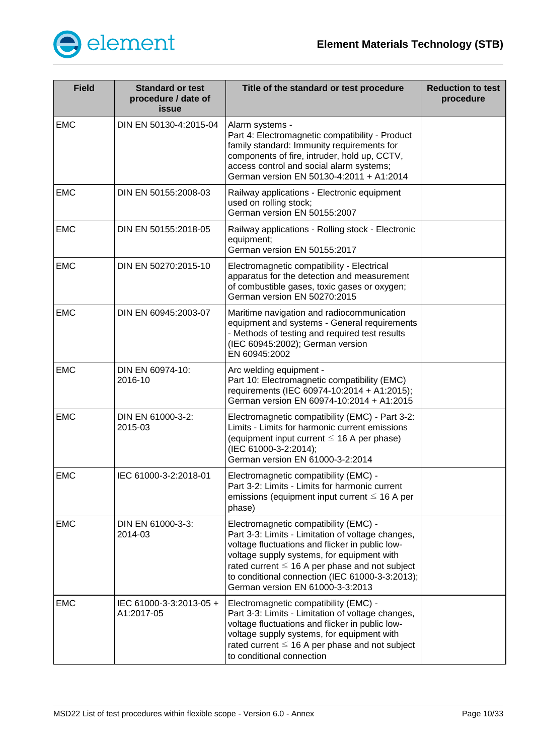

| <b>Field</b> | <b>Standard or test</b><br>procedure / date of<br><b>issue</b> | Title of the standard or test procedure                                                                                                                                                                                                                                                                                                   | <b>Reduction to test</b><br>procedure |
|--------------|----------------------------------------------------------------|-------------------------------------------------------------------------------------------------------------------------------------------------------------------------------------------------------------------------------------------------------------------------------------------------------------------------------------------|---------------------------------------|
| <b>EMC</b>   | DIN EN 50130-4:2015-04                                         | Alarm systems -<br>Part 4: Electromagnetic compatibility - Product<br>family standard: Immunity requirements for<br>components of fire, intruder, hold up, CCTV,<br>access control and social alarm systems;<br>German version EN 50130-4:2011 + A1:2014                                                                                  |                                       |
| <b>EMC</b>   | DIN EN 50155:2008-03                                           | Railway applications - Electronic equipment<br>used on rolling stock;<br>German version EN 50155:2007                                                                                                                                                                                                                                     |                                       |
| <b>EMC</b>   | DIN EN 50155:2018-05                                           | Railway applications - Rolling stock - Electronic<br>equipment;<br>German version EN 50155:2017                                                                                                                                                                                                                                           |                                       |
| <b>EMC</b>   | DIN EN 50270:2015-10                                           | Electromagnetic compatibility - Electrical<br>apparatus for the detection and measurement<br>of combustible gases, toxic gases or oxygen;<br>German version EN 50270:2015                                                                                                                                                                 |                                       |
| <b>EMC</b>   | DIN EN 60945:2003-07                                           | Maritime navigation and radiocommunication<br>equipment and systems - General requirements<br>- Methods of testing and required test results<br>(IEC 60945:2002); German version<br>EN 60945:2002                                                                                                                                         |                                       |
| <b>EMC</b>   | DIN EN 60974-10:<br>2016-10                                    | Arc welding equipment -<br>Part 10: Electromagnetic compatibility (EMC)<br>requirements (IEC 60974-10:2014 + A1:2015);<br>German version EN 60974-10:2014 + A1:2015                                                                                                                                                                       |                                       |
| <b>EMC</b>   | DIN EN 61000-3-2:<br>2015-03                                   | Electromagnetic compatibility (EMC) - Part 3-2:<br>Limits - Limits for harmonic current emissions<br>(equipment input current $\leq$ 16 A per phase)<br>(IEC 61000-3-2:2014);<br>German version EN 61000-3-2:2014                                                                                                                         |                                       |
| <b>EMC</b>   | IEC 61000-3-2:2018-01                                          | Electromagnetic compatibility (EMC) -<br>Part 3-2: Limits - Limits for harmonic current<br>emissions (equipment input current $\leq$ 16 A per<br>phase)                                                                                                                                                                                   |                                       |
| <b>EMC</b>   | DIN EN 61000-3-3:<br>2014-03                                   | Electromagnetic compatibility (EMC) -<br>Part 3-3: Limits - Limitation of voltage changes,<br>voltage fluctuations and flicker in public low-<br>voltage supply systems, for equipment with<br>rated current $\leq$ 16 A per phase and not subject<br>to conditional connection (IEC 61000-3-3:2013);<br>German version EN 61000-3-3:2013 |                                       |
| <b>EMC</b>   | IEC 61000-3-3:2013-05 +<br>A1:2017-05                          | Electromagnetic compatibility (EMC) -<br>Part 3-3: Limits - Limitation of voltage changes,<br>voltage fluctuations and flicker in public low-<br>voltage supply systems, for equipment with<br>rated current $\leq 16$ A per phase and not subject<br>to conditional connection                                                           |                                       |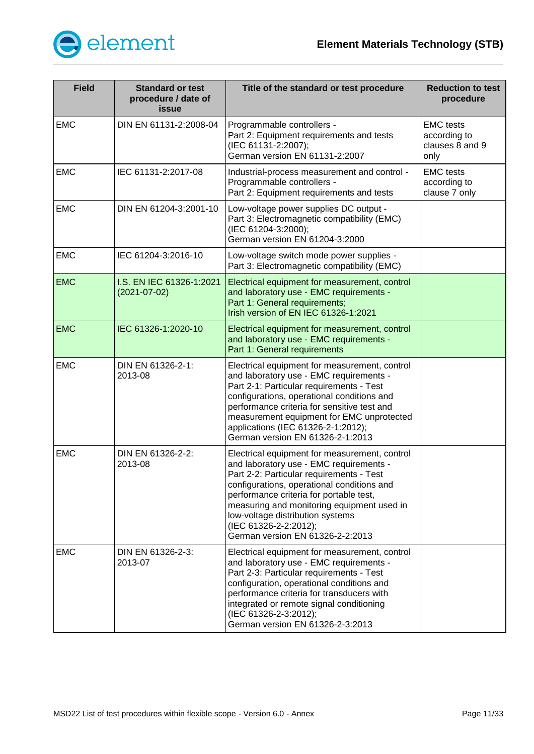

| <b>Field</b> | <b>Standard or test</b><br>procedure / date of<br>issue | Title of the standard or test procedure                                                                                                                                                                                                                                                                                                                                      | <b>Reduction to test</b><br>procedure                       |
|--------------|---------------------------------------------------------|------------------------------------------------------------------------------------------------------------------------------------------------------------------------------------------------------------------------------------------------------------------------------------------------------------------------------------------------------------------------------|-------------------------------------------------------------|
| <b>EMC</b>   | DIN EN 61131-2:2008-04                                  | Programmable controllers -<br>Part 2: Equipment requirements and tests<br>(IEC 61131-2:2007);<br>German version EN 61131-2:2007                                                                                                                                                                                                                                              | <b>EMC</b> tests<br>according to<br>clauses 8 and 9<br>only |
| <b>EMC</b>   | IEC 61131-2:2017-08                                     | Industrial-process measurement and control -<br>Programmable controllers -<br>Part 2: Equipment requirements and tests                                                                                                                                                                                                                                                       | <b>EMC</b> tests<br>according to<br>clause 7 only           |
| <b>EMC</b>   | DIN EN 61204-3:2001-10                                  | Low-voltage power supplies DC output -<br>Part 3: Electromagnetic compatibility (EMC)<br>(IEC 61204-3:2000);<br>German version EN 61204-3:2000                                                                                                                                                                                                                               |                                                             |
| <b>EMC</b>   | IEC 61204-3:2016-10                                     | Low-voltage switch mode power supplies -<br>Part 3: Electromagnetic compatibility (EMC)                                                                                                                                                                                                                                                                                      |                                                             |
| <b>EMC</b>   | I.S. EN IEC 61326-1:2021<br>$(2021 - 07 - 02)$          | Electrical equipment for measurement, control<br>and laboratory use - EMC requirements -<br>Part 1: General requirements;<br>Irish version of EN IEC 61326-1:2021                                                                                                                                                                                                            |                                                             |
| <b>EMC</b>   | IEC 61326-1:2020-10                                     | Electrical equipment for measurement, control<br>and laboratory use - EMC requirements -<br>Part 1: General requirements                                                                                                                                                                                                                                                     |                                                             |
| <b>EMC</b>   | DIN EN 61326-2-1:<br>2013-08                            | Electrical equipment for measurement, control<br>and laboratory use - EMC requirements -<br>Part 2-1: Particular requirements - Test<br>configurations, operational conditions and<br>performance criteria for sensitive test and<br>measurement equipment for EMC unprotected<br>applications (IEC 61326-2-1:2012);<br>German version EN 61326-2-1:2013                     |                                                             |
| <b>EMC</b>   | DIN EN 61326-2-2:<br>2013-08                            | Electrical equipment for measurement, control<br>and laboratory use - EMC requirements -<br>Part 2-2: Particular requirements - Test<br>configurations, operational conditions and<br>performance criteria for portable test,<br>measuring and monitoring equipment used in<br>low-voltage distribution systems<br>(IEC 61326-2-2:2012);<br>German version EN 61326-2-2:2013 |                                                             |
| <b>EMC</b>   | DIN EN 61326-2-3:<br>2013-07                            | Electrical equipment for measurement, control<br>and laboratory use - EMC requirements -<br>Part 2-3: Particular requirements - Test<br>configuration, operational conditions and<br>performance criteria for transducers with<br>integrated or remote signal conditioning<br>(IEC 61326-2-3:2012);<br>German version EN 61326-2-3:2013                                      |                                                             |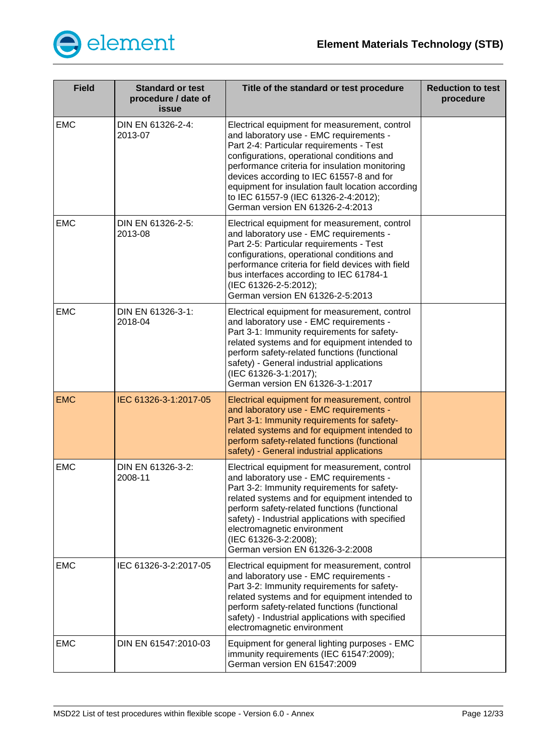

| <b>Field</b> | <b>Standard or test</b><br>procedure / date of<br>issue | Title of the standard or test procedure                                                                                                                                                                                                                                                                                                                                                                           | <b>Reduction to test</b><br>procedure |
|--------------|---------------------------------------------------------|-------------------------------------------------------------------------------------------------------------------------------------------------------------------------------------------------------------------------------------------------------------------------------------------------------------------------------------------------------------------------------------------------------------------|---------------------------------------|
| <b>EMC</b>   | DIN EN 61326-2-4:<br>2013-07                            | Electrical equipment for measurement, control<br>and laboratory use - EMC requirements -<br>Part 2-4: Particular requirements - Test<br>configurations, operational conditions and<br>performance criteria for insulation monitoring<br>devices according to IEC 61557-8 and for<br>equipment for insulation fault location according<br>to IEC 61557-9 (IEC 61326-2-4:2012);<br>German version EN 61326-2-4:2013 |                                       |
| <b>EMC</b>   | DIN EN 61326-2-5:<br>2013-08                            | Electrical equipment for measurement, control<br>and laboratory use - EMC requirements -<br>Part 2-5: Particular requirements - Test<br>configurations, operational conditions and<br>performance criteria for field devices with field<br>bus interfaces according to IEC 61784-1<br>(IEC 61326-2-5:2012);<br>German version EN 61326-2-5:2013                                                                   |                                       |
| <b>EMC</b>   | DIN EN 61326-3-1:<br>2018-04                            | Electrical equipment for measurement, control<br>and laboratory use - EMC requirements -<br>Part 3-1: Immunity requirements for safety-<br>related systems and for equipment intended to<br>perform safety-related functions (functional<br>safety) - General industrial applications<br>(IEC 61326-3-1:2017);<br>German version EN 61326-3-1:2017                                                                |                                       |
| <b>EMC</b>   | IEC 61326-3-1:2017-05                                   | Electrical equipment for measurement, control<br>and laboratory use - EMC requirements -<br>Part 3-1: Immunity requirements for safety-<br>related systems and for equipment intended to<br>perform safety-related functions (functional<br>safety) - General industrial applications                                                                                                                             |                                       |
| <b>EMC</b>   | DIN EN 61326-3-2:<br>2008-11                            | Electrical equipment for measurement, control<br>and laboratory use - EMC requirements -<br>Part 3-2: Immunity requirements for safety-<br>related systems and for equipment intended to<br>perform safety-related functions (functional<br>safety) - Industrial applications with specified<br>electromagnetic environment<br>(IEC 61326-3-2:2008);<br>German version EN 61326-3-2:2008                          |                                       |
| <b>EMC</b>   | IEC 61326-3-2:2017-05                                   | Electrical equipment for measurement, control<br>and laboratory use - EMC requirements -<br>Part 3-2: Immunity requirements for safety-<br>related systems and for equipment intended to<br>perform safety-related functions (functional<br>safety) - Industrial applications with specified<br>electromagnetic environment                                                                                       |                                       |
| <b>EMC</b>   | DIN EN 61547:2010-03                                    | Equipment for general lighting purposes - EMC<br>immunity requirements (IEC 61547:2009);<br>German version EN 61547:2009                                                                                                                                                                                                                                                                                          |                                       |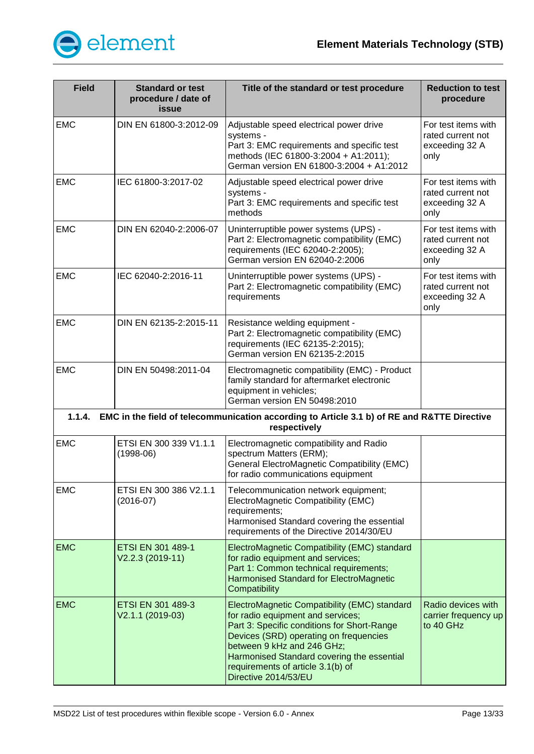

<span id="page-12-0"></span>

| <b>Field</b> | <b>Standard or test</b><br>procedure / date of<br>issue | Title of the standard or test procedure                                                                                                                                                                                                                                                                             | <b>Reduction to test</b><br>procedure                              |
|--------------|---------------------------------------------------------|---------------------------------------------------------------------------------------------------------------------------------------------------------------------------------------------------------------------------------------------------------------------------------------------------------------------|--------------------------------------------------------------------|
| <b>EMC</b>   | DIN EN 61800-3:2012-09                                  | Adjustable speed electrical power drive<br>systems -<br>Part 3: EMC requirements and specific test<br>methods (IEC 61800-3:2004 + A1:2011);<br>German version EN 61800-3:2004 + A1:2012                                                                                                                             | For test items with<br>rated current not<br>exceeding 32 A<br>only |
| <b>EMC</b>   | IEC 61800-3:2017-02                                     | Adjustable speed electrical power drive<br>systems -<br>Part 3: EMC requirements and specific test<br>methods                                                                                                                                                                                                       | For test items with<br>rated current not<br>exceeding 32 A<br>only |
| <b>EMC</b>   | DIN EN 62040-2:2006-07                                  | Uninterruptible power systems (UPS) -<br>Part 2: Electromagnetic compatibility (EMC)<br>requirements (IEC 62040-2:2005);<br>German version EN 62040-2:2006                                                                                                                                                          | For test items with<br>rated current not<br>exceeding 32 A<br>only |
| <b>EMC</b>   | IEC 62040-2:2016-11                                     | Uninterruptible power systems (UPS) -<br>Part 2: Electromagnetic compatibility (EMC)<br>requirements                                                                                                                                                                                                                | For test items with<br>rated current not<br>exceeding 32 A<br>only |
| <b>EMC</b>   | DIN EN 62135-2:2015-11                                  | Resistance welding equipment -<br>Part 2: Electromagnetic compatibility (EMC)<br>requirements (IEC 62135-2:2015);<br>German version EN 62135-2:2015                                                                                                                                                                 |                                                                    |
| <b>EMC</b>   | DIN EN 50498:2011-04                                    | Electromagnetic compatibility (EMC) - Product<br>family standard for aftermarket electronic<br>equipment in vehicles;<br>German version EN 50498:2010                                                                                                                                                               |                                                                    |
|              |                                                         | 1.1.4. EMC in the field of telecommunication according to Article 3.1 b) of RE and R&TTE Directive<br>respectively                                                                                                                                                                                                  |                                                                    |
| <b>EMC</b>   | ETSI EN 300 339 V1.1.1<br>$(1998-06)$                   | Electromagnetic compatibility and Radio<br>spectrum Matters (ERM);<br>General ElectroMagnetic Compatibility (EMC)<br>for radio communications equipment                                                                                                                                                             |                                                                    |
| <b>EMC</b>   | ETSI EN 300 386 V2.1.1<br>$(2016-07)$                   | Telecommunication network equipment;<br>ElectroMagnetic Compatibility (EMC)<br>requirements;<br>Harmonised Standard covering the essential<br>requirements of the Directive 2014/30/EU                                                                                                                              |                                                                    |
| <b>EMC</b>   | ETSI EN 301 489-1<br>V2.2.3 (2019-11)                   | ElectroMagnetic Compatibility (EMC) standard<br>for radio equipment and services;<br>Part 1: Common technical requirements;<br>Harmonised Standard for ElectroMagnetic<br>Compatibility                                                                                                                             |                                                                    |
| <b>EMC</b>   | ETSI EN 301 489-3<br>V2.1.1 (2019-03)                   | ElectroMagnetic Compatibility (EMC) standard<br>for radio equipment and services;<br>Part 3: Specific conditions for Short-Range<br>Devices (SRD) operating on frequencies<br>between 9 kHz and 246 GHz;<br>Harmonised Standard covering the essential<br>requirements of article 3.1(b) of<br>Directive 2014/53/EU | Radio devices with<br>carrier frequency up<br>to 40 GHz            |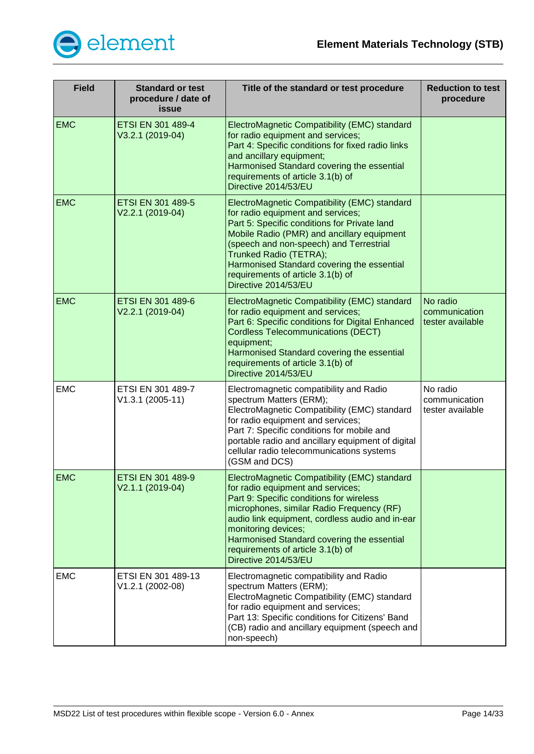

| <b>Field</b> | <b>Standard or test</b><br>procedure / date of<br>issue | Title of the standard or test procedure                                                                                                                                                                                                                                                                                                                         | <b>Reduction to test</b><br>procedure         |
|--------------|---------------------------------------------------------|-----------------------------------------------------------------------------------------------------------------------------------------------------------------------------------------------------------------------------------------------------------------------------------------------------------------------------------------------------------------|-----------------------------------------------|
| <b>EMC</b>   | <b>ETSI EN 301 489-4</b><br>V3.2.1 (2019-04)            | ElectroMagnetic Compatibility (EMC) standard<br>for radio equipment and services;<br>Part 4: Specific conditions for fixed radio links<br>and ancillary equipment;<br>Harmonised Standard covering the essential<br>requirements of article 3.1(b) of<br>Directive 2014/53/EU                                                                                   |                                               |
| <b>EMC</b>   | ETSI EN 301 489-5<br>V2.2.1 (2019-04)                   | ElectroMagnetic Compatibility (EMC) standard<br>for radio equipment and services;<br>Part 5: Specific conditions for Private land<br>Mobile Radio (PMR) and ancillary equipment<br>(speech and non-speech) and Terrestrial<br>Trunked Radio (TETRA);<br>Harmonised Standard covering the essential<br>requirements of article 3.1(b) of<br>Directive 2014/53/EU |                                               |
| <b>EMC</b>   | ETSI EN 301 489-6<br>V2.2.1 (2019-04)                   | ElectroMagnetic Compatibility (EMC) standard<br>for radio equipment and services;<br>Part 6: Specific conditions for Digital Enhanced<br><b>Cordless Telecommunications (DECT)</b><br>equipment;<br>Harmonised Standard covering the essential<br>requirements of article 3.1(b) of<br>Directive 2014/53/EU                                                     | No radio<br>communication<br>tester available |
| <b>EMC</b>   | ETSI EN 301 489-7<br>V1.3.1 (2005-11)                   | Electromagnetic compatibility and Radio<br>spectrum Matters (ERM);<br>ElectroMagnetic Compatibility (EMC) standard<br>for radio equipment and services;<br>Part 7: Specific conditions for mobile and<br>portable radio and ancillary equipment of digital<br>cellular radio telecommunications systems<br>(GSM and DCS)                                        | No radio<br>communication<br>tester available |
| <b>EMC</b>   | ETSI EN 301 489-9<br>V2.1.1 (2019-04)                   | ElectroMagnetic Compatibility (EMC) standard<br>for radio equipment and services;<br>Part 9: Specific conditions for wireless<br>microphones, similar Radio Frequency (RF)<br>audio link equipment, cordless audio and in-ear<br>monitoring devices;<br>Harmonised Standard covering the essential<br>requirements of article 3.1(b) of<br>Directive 2014/53/EU |                                               |
| <b>EMC</b>   | ETSI EN 301 489-13<br>V1.2.1 (2002-08)                  | Electromagnetic compatibility and Radio<br>spectrum Matters (ERM);<br>ElectroMagnetic Compatibility (EMC) standard<br>for radio equipment and services;<br>Part 13: Specific conditions for Citizens' Band<br>(CB) radio and ancillary equipment (speech and<br>non-speech)                                                                                     |                                               |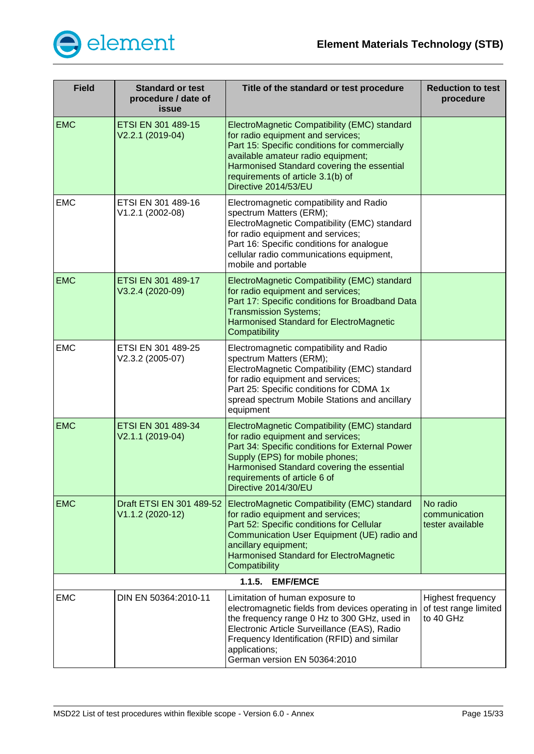

<span id="page-14-0"></span>

| <b>Field</b> | <b>Standard or test</b><br>procedure / date of<br><b>issue</b> | Title of the standard or test procedure                                                                                                                                                                                                                                             | <b>Reduction to test</b><br>procedure                   |
|--------------|----------------------------------------------------------------|-------------------------------------------------------------------------------------------------------------------------------------------------------------------------------------------------------------------------------------------------------------------------------------|---------------------------------------------------------|
| <b>EMC</b>   | ETSI EN 301 489-15<br>V2.2.1 (2019-04)                         | ElectroMagnetic Compatibility (EMC) standard<br>for radio equipment and services;<br>Part 15: Specific conditions for commercially<br>available amateur radio equipment;<br>Harmonised Standard covering the essential<br>requirements of article 3.1(b) of<br>Directive 2014/53/EU |                                                         |
| <b>EMC</b>   | ETSI EN 301 489-16<br>V1.2.1 (2002-08)                         | Electromagnetic compatibility and Radio<br>spectrum Matters (ERM);<br>ElectroMagnetic Compatibility (EMC) standard<br>for radio equipment and services;<br>Part 16: Specific conditions for analogue<br>cellular radio communications equipment,<br>mobile and portable             |                                                         |
| <b>EMC</b>   | ETSI EN 301 489-17<br>V3.2.4 (2020-09)                         | ElectroMagnetic Compatibility (EMC) standard<br>for radio equipment and services;<br>Part 17: Specific conditions for Broadband Data<br><b>Transmission Systems;</b><br><b>Harmonised Standard for ElectroMagnetic</b><br>Compatibility                                             |                                                         |
| <b>EMC</b>   | ETSI EN 301 489-25<br>V2.3.2 (2005-07)                         | Electromagnetic compatibility and Radio<br>spectrum Matters (ERM);<br>ElectroMagnetic Compatibility (EMC) standard<br>for radio equipment and services;<br>Part 25: Specific conditions for CDMA 1x<br>spread spectrum Mobile Stations and ancillary<br>equipment                   |                                                         |
| <b>EMC</b>   | ETSI EN 301 489-34<br>V2.1.1 (2019-04)                         | ElectroMagnetic Compatibility (EMC) standard<br>for radio equipment and services;<br>Part 34: Specific conditions for External Power<br>Supply (EPS) for mobile phones;<br>Harmonised Standard covering the essential<br>requirements of article 6 of<br>Directive 2014/30/EU       |                                                         |
| <b>EMC</b>   | Draft ETSI EN 301 489-52<br>V1.1.2 (2020-12)                   | ElectroMagnetic Compatibility (EMC) standard<br>for radio equipment and services;<br>Part 52: Specific conditions for Cellular<br>Communication User Equipment (UE) radio and<br>ancillary equipment;<br>Harmonised Standard for ElectroMagnetic<br>Compatibility                   | No radio<br>communication<br>tester available           |
|              |                                                                | 1.1.5.<br><b>EMF/EMCE</b>                                                                                                                                                                                                                                                           |                                                         |
| <b>EMC</b>   | DIN EN 50364:2010-11                                           | Limitation of human exposure to<br>electromagnetic fields from devices operating in<br>the frequency range 0 Hz to 300 GHz, used in<br>Electronic Article Surveillance (EAS), Radio<br>Frequency Identification (RFID) and similar<br>applications;<br>German version EN 50364:2010 | Highest frequency<br>of test range limited<br>to 40 GHz |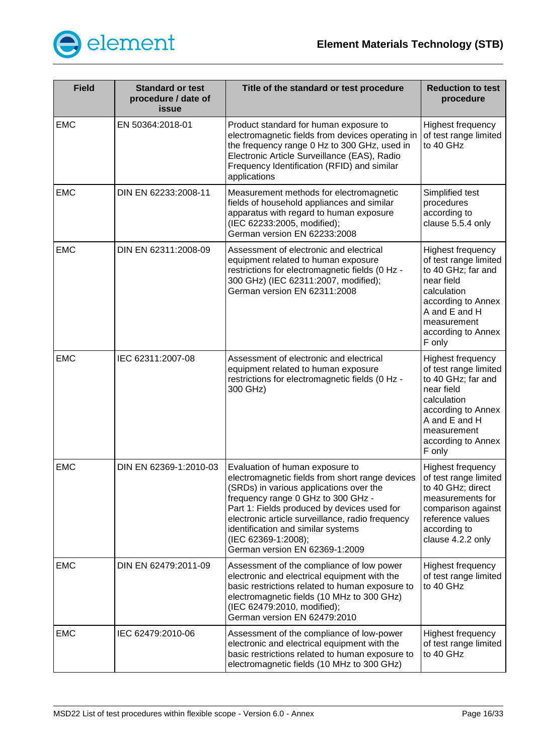

| <b>Field</b> | <b>Standard or test</b><br>procedure / date of<br><b>issue</b> | Title of the standard or test procedure                                                                                                                                                                                                                                                                                                                               | <b>Reduction to test</b><br>procedure                                                                                                                                               |
|--------------|----------------------------------------------------------------|-----------------------------------------------------------------------------------------------------------------------------------------------------------------------------------------------------------------------------------------------------------------------------------------------------------------------------------------------------------------------|-------------------------------------------------------------------------------------------------------------------------------------------------------------------------------------|
| <b>EMC</b>   | EN 50364:2018-01                                               | Product standard for human exposure to<br>electromagnetic fields from devices operating in<br>the frequency range 0 Hz to 300 GHz, used in<br>Electronic Article Surveillance (EAS), Radio<br>Frequency Identification (RFID) and similar<br>applications                                                                                                             | Highest frequency<br>of test range limited<br>to 40 GHz                                                                                                                             |
| <b>EMC</b>   | DIN EN 62233:2008-11                                           | Measurement methods for electromagnetic<br>fields of household appliances and similar<br>apparatus with regard to human exposure<br>(IEC 62233:2005, modified);<br>German version EN 62233:2008                                                                                                                                                                       | Simplified test<br>procedures<br>according to<br>clause 5.5.4 only                                                                                                                  |
| <b>EMC</b>   | DIN EN 62311:2008-09                                           | Assessment of electronic and electrical<br>equipment related to human exposure<br>restrictions for electromagnetic fields (0 Hz -<br>300 GHz) (IEC 62311:2007, modified);<br>German version EN 62311:2008                                                                                                                                                             | Highest frequency<br>of test range limited<br>to 40 GHz; far and<br>near field<br>calculation<br>according to Annex<br>A and E and H<br>measurement<br>according to Annex<br>F only |
| <b>EMC</b>   | IEC 62311:2007-08                                              | Assessment of electronic and electrical<br>equipment related to human exposure<br>restrictions for electromagnetic fields (0 Hz -<br>300 GHz)                                                                                                                                                                                                                         | Highest frequency<br>of test range limited<br>to 40 GHz; far and<br>near field<br>calculation<br>according to Annex<br>A and E and H<br>measurement<br>according to Annex<br>F only |
| <b>EMC</b>   | DIN EN 62369-1:2010-03                                         | Evaluation of human exposure to<br>electromagnetic fields from short range devices<br>(SRDs) in various applications over the<br>frequency range 0 GHz to 300 GHz -<br>Part 1: Fields produced by devices used for<br>electronic article surveillance, radio frequency<br>identification and similar systems<br>(IEC 62369-1:2008);<br>German version EN 62369-1:2009 | Highest frequency<br>of test range limited<br>to 40 GHz; direct<br>measurements for<br>comparison against<br>reference values<br>according to<br>clause 4.2.2 only                  |
| <b>EMC</b>   | DIN EN 62479:2011-09                                           | Assessment of the compliance of low power<br>electronic and electrical equipment with the<br>basic restrictions related to human exposure to<br>electromagnetic fields (10 MHz to 300 GHz)<br>(IEC 62479:2010, modified);<br>German version EN 62479:2010                                                                                                             | Highest frequency<br>of test range limited<br>to 40 GHz                                                                                                                             |
| <b>EMC</b>   | IEC 62479:2010-06                                              | Assessment of the compliance of low-power<br>electronic and electrical equipment with the<br>basic restrictions related to human exposure to<br>electromagnetic fields (10 MHz to 300 GHz)                                                                                                                                                                            | Highest frequency<br>of test range limited<br>to 40 GHz                                                                                                                             |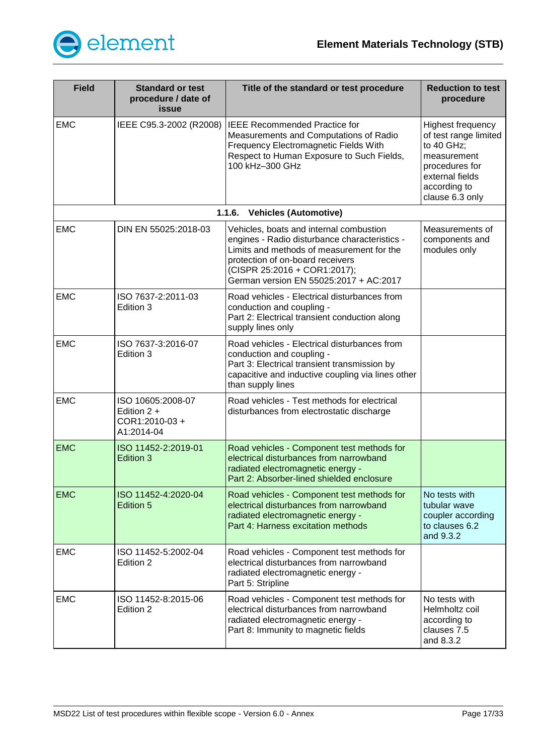

<span id="page-16-0"></span>

| <b>Field</b> | <b>Standard or test</b><br>procedure / date of<br>issue           | Title of the standard or test procedure                                                                                                                                                                                                             | <b>Reduction to test</b><br>procedure                                                                                                                  |
|--------------|-------------------------------------------------------------------|-----------------------------------------------------------------------------------------------------------------------------------------------------------------------------------------------------------------------------------------------------|--------------------------------------------------------------------------------------------------------------------------------------------------------|
| <b>EMC</b>   | IEEE C95.3-2002 (R2008)                                           | <b>IEEE Recommended Practice for</b><br>Measurements and Computations of Radio<br>Frequency Electromagnetic Fields With<br>Respect to Human Exposure to Such Fields,<br>100 kHz-300 GHz                                                             | <b>Highest frequency</b><br>of test range limited<br>to 40 GHz;<br>measurement<br>procedures for<br>external fields<br>according to<br>clause 6.3 only |
|              |                                                                   | 1.1.6.<br><b>Vehicles (Automotive)</b>                                                                                                                                                                                                              |                                                                                                                                                        |
| <b>EMC</b>   | DIN EN 55025:2018-03                                              | Vehicles, boats and internal combustion<br>engines - Radio disturbance characteristics -<br>Limits and methods of measurement for the<br>protection of on-board receivers<br>(CISPR 25:2016 + COR1:2017);<br>German version EN 55025:2017 + AC:2017 | Measurements of<br>components and<br>modules only                                                                                                      |
| <b>EMC</b>   | ISO 7637-2:2011-03<br>Edition 3                                   | Road vehicles - Electrical disturbances from<br>conduction and coupling -<br>Part 2: Electrical transient conduction along<br>supply lines only                                                                                                     |                                                                                                                                                        |
| <b>EMC</b>   | ISO 7637-3:2016-07<br>Edition 3                                   | Road vehicles - Electrical disturbances from<br>conduction and coupling -<br>Part 3: Electrical transient transmission by<br>capacitive and inductive coupling via lines other<br>than supply lines                                                 |                                                                                                                                                        |
| <b>EMC</b>   | ISO 10605:2008-07<br>Edition $2 +$<br>COR1:2010-03+<br>A1:2014-04 | Road vehicles - Test methods for electrical<br>disturbances from electrostatic discharge                                                                                                                                                            |                                                                                                                                                        |
| <b>EMC</b>   | ISO 11452-2:2019-01<br>Edition 3                                  | Road vehicles - Component test methods for<br>electrical disturbances from narrowband<br>radiated electromagnetic energy -<br>Part 2: Absorber-lined shielded enclosure                                                                             |                                                                                                                                                        |
| <b>EMC</b>   | ISO 11452-4:2020-04<br>Edition 5                                  | Road vehicles - Component test methods for<br>electrical disturbances from narrowband<br>radiated electromagnetic energy -<br>Part 4: Harness excitation methods                                                                                    | No tests with<br>tubular wave<br>coupler according<br>to clauses 6.2<br>and 9.3.2                                                                      |
| <b>EMC</b>   | ISO 11452-5:2002-04<br>Edition 2                                  | Road vehicles - Component test methods for<br>electrical disturbances from narrowband<br>radiated electromagnetic energy -<br>Part 5: Stripline                                                                                                     |                                                                                                                                                        |
| <b>EMC</b>   | ISO 11452-8:2015-06<br>Edition 2                                  | Road vehicles - Component test methods for<br>electrical disturbances from narrowband<br>radiated electromagnetic energy -<br>Part 8: Immunity to magnetic fields                                                                                   | No tests with<br>Helmholtz coil<br>according to<br>clauses 7.5<br>and 8.3.2                                                                            |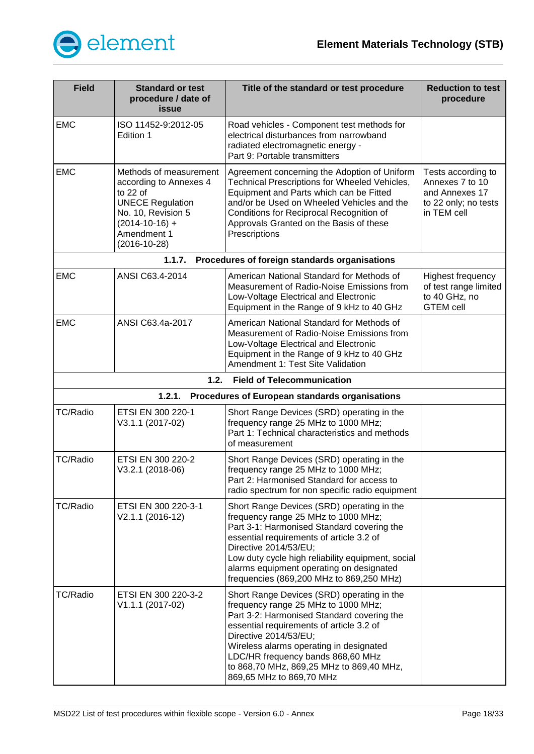

<span id="page-17-2"></span><span id="page-17-1"></span><span id="page-17-0"></span>

| <b>Field</b>    | <b>Standard or test</b><br>procedure / date of<br>issue                                                                                                                | Title of the standard or test procedure                                                                                                                                                                                                                                                                                                                      | <b>Reduction to test</b><br>procedure                                                          |
|-----------------|------------------------------------------------------------------------------------------------------------------------------------------------------------------------|--------------------------------------------------------------------------------------------------------------------------------------------------------------------------------------------------------------------------------------------------------------------------------------------------------------------------------------------------------------|------------------------------------------------------------------------------------------------|
| <b>EMC</b>      | ISO 11452-9:2012-05<br>Edition 1                                                                                                                                       | Road vehicles - Component test methods for<br>electrical disturbances from narrowband<br>radiated electromagnetic energy -<br>Part 9: Portable transmitters                                                                                                                                                                                                  |                                                                                                |
| <b>EMC</b>      | Methods of measurement<br>according to Annexes 4<br>to 22 of<br><b>UNECE Regulation</b><br>No. 10, Revision 5<br>$(2014 - 10 - 16) +$<br>Amendment 1<br>$(2016-10-28)$ | Agreement concerning the Adoption of Uniform<br>Technical Prescriptions for Wheeled Vehicles,<br>Equipment and Parts which can be Fitted<br>and/or be Used on Wheeled Vehicles and the<br>Conditions for Reciprocal Recognition of<br>Approvals Granted on the Basis of these<br>Prescriptions                                                               | Tests according to<br>Annexes 7 to 10<br>and Annexes 17<br>to 22 only; no tests<br>in TEM cell |
|                 | 1.1.7.                                                                                                                                                                 | Procedures of foreign standards organisations                                                                                                                                                                                                                                                                                                                |                                                                                                |
| <b>EMC</b>      | ANSI C63.4-2014                                                                                                                                                        | American National Standard for Methods of<br>Measurement of Radio-Noise Emissions from<br>Low-Voltage Electrical and Electronic<br>Equipment in the Range of 9 kHz to 40 GHz                                                                                                                                                                                 | Highest frequency<br>of test range limited<br>to 40 GHz, no<br><b>GTEM cell</b>                |
| <b>EMC</b>      | ANSI C63.4a-2017                                                                                                                                                       | American National Standard for Methods of<br>Measurement of Radio-Noise Emissions from<br>Low-Voltage Electrical and Electronic<br>Equipment in the Range of 9 kHz to 40 GHz<br>Amendment 1: Test Site Validation                                                                                                                                            |                                                                                                |
|                 | 1.2.                                                                                                                                                                   | <b>Field of Telecommunication</b>                                                                                                                                                                                                                                                                                                                            |                                                                                                |
|                 | 1.2.1.                                                                                                                                                                 | Procedures of European standards organisations                                                                                                                                                                                                                                                                                                               |                                                                                                |
| <b>TC/Radio</b> | ETSI EN 300 220-1<br>V3.1.1 (2017-02)                                                                                                                                  | Short Range Devices (SRD) operating in the<br>frequency range 25 MHz to 1000 MHz;<br>Part 1: Technical characteristics and methods<br>of measurement                                                                                                                                                                                                         |                                                                                                |
| <b>TC/Radio</b> | ETSI EN 300 220-2<br>V3.2.1 (2018-06)                                                                                                                                  | Short Range Devices (SRD) operating in the<br>frequency range 25 MHz to 1000 MHz;<br>Part 2: Harmonised Standard for access to<br>radio spectrum for non specific radio equipment                                                                                                                                                                            |                                                                                                |
| <b>TC/Radio</b> | ETSI EN 300 220-3-1<br>V2.1.1 (2016-12)                                                                                                                                | Short Range Devices (SRD) operating in the<br>frequency range 25 MHz to 1000 MHz;<br>Part 3-1: Harmonised Standard covering the<br>essential requirements of article 3.2 of<br>Directive 2014/53/EU;<br>Low duty cycle high reliability equipment, social<br>alarms equipment operating on designated<br>frequencies (869,200 MHz to 869,250 MHz)            |                                                                                                |
| TC/Radio        | ETSI EN 300 220-3-2<br>V1.1.1 (2017-02)                                                                                                                                | Short Range Devices (SRD) operating in the<br>frequency range 25 MHz to 1000 MHz;<br>Part 3-2: Harmonised Standard covering the<br>essential requirements of article 3.2 of<br>Directive 2014/53/EU;<br>Wireless alarms operating in designated<br>LDC/HR frequency bands 868,60 MHz<br>to 868,70 MHz, 869,25 MHz to 869,40 MHz,<br>869,65 MHz to 869,70 MHz |                                                                                                |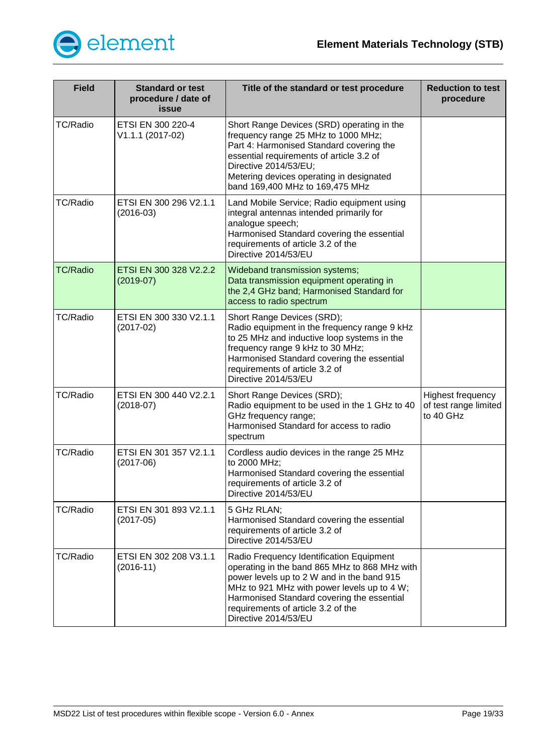

| <b>Field</b>    | <b>Standard or test</b><br>procedure / date of<br>issue | Title of the standard or test procedure                                                                                                                                                                                                                                                            | <b>Reduction to test</b><br>procedure                          |
|-----------------|---------------------------------------------------------|----------------------------------------------------------------------------------------------------------------------------------------------------------------------------------------------------------------------------------------------------------------------------------------------------|----------------------------------------------------------------|
| <b>TC/Radio</b> | ETSI EN 300 220-4<br>V1.1.1 (2017-02)                   | Short Range Devices (SRD) operating in the<br>frequency range 25 MHz to 1000 MHz;<br>Part 4: Harmonised Standard covering the<br>essential requirements of article 3.2 of<br>Directive 2014/53/EU;<br>Metering devices operating in designated<br>band 169,400 MHz to 169,475 MHz                  |                                                                |
| <b>TC/Radio</b> | ETSI EN 300 296 V2.1.1<br>$(2016-03)$                   | Land Mobile Service; Radio equipment using<br>integral antennas intended primarily for<br>analogue speech;<br>Harmonised Standard covering the essential<br>requirements of article 3.2 of the<br>Directive 2014/53/EU                                                                             |                                                                |
| <b>TC/Radio</b> | ETSI EN 300 328 V2.2.2<br>$(2019-07)$                   | Wideband transmission systems;<br>Data transmission equipment operating in<br>the 2,4 GHz band; Harmonised Standard for<br>access to radio spectrum                                                                                                                                                |                                                                |
| <b>TC/Radio</b> | ETSI EN 300 330 V2.1.1<br>$(2017-02)$                   | Short Range Devices (SRD);<br>Radio equipment in the frequency range 9 kHz<br>to 25 MHz and inductive loop systems in the<br>frequency range 9 kHz to 30 MHz;<br>Harmonised Standard covering the essential<br>requirements of article 3.2 of<br>Directive 2014/53/EU                              |                                                                |
| <b>TC/Radio</b> | ETSI EN 300 440 V2.2.1<br>$(2018-07)$                   | Short Range Devices (SRD);<br>Radio equipment to be used in the 1 GHz to 40<br>GHz frequency range;<br>Harmonised Standard for access to radio<br>spectrum                                                                                                                                         | <b>Highest frequency</b><br>of test range limited<br>to 40 GHz |
| <b>TC/Radio</b> | ETSI EN 301 357 V2.1.1<br>$(2017-06)$                   | Cordless audio devices in the range 25 MHz<br>to 2000 MHz;<br>Harmonised Standard covering the essential<br>requirements of article 3.2 of<br>Directive 2014/53/EU                                                                                                                                 |                                                                |
| TC/Radio        | ETSI EN 301 893 V2.1.1<br>$(2017-05)$                   | 5 GHz RLAN;<br>Harmonised Standard covering the essential<br>requirements of article 3.2 of<br>Directive 2014/53/EU                                                                                                                                                                                |                                                                |
| <b>TC/Radio</b> | ETSI EN 302 208 V3.1.1<br>$(2016-11)$                   | Radio Frequency Identification Equipment<br>operating in the band 865 MHz to 868 MHz with<br>power levels up to 2 W and in the band 915<br>MHz to 921 MHz with power levels up to 4 W;<br>Harmonised Standard covering the essential<br>requirements of article 3.2 of the<br>Directive 2014/53/EU |                                                                |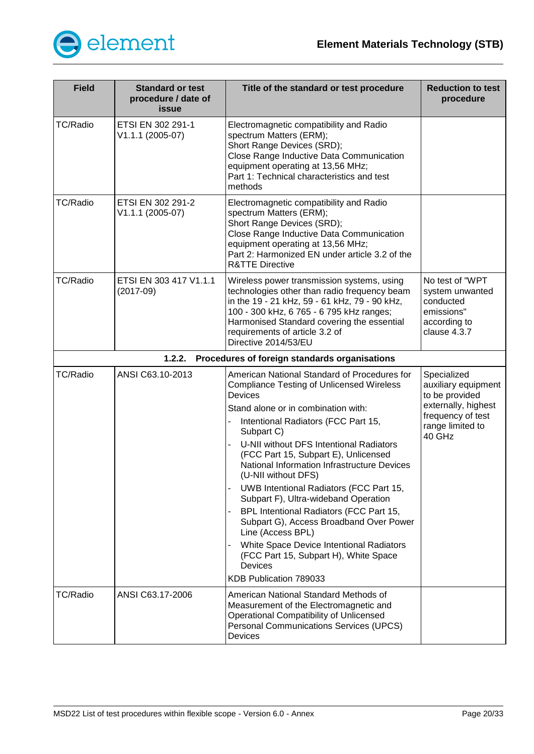

<span id="page-19-0"></span>

| <b>Field</b>    | <b>Standard or test</b><br>procedure / date of<br>issue | Title of the standard or test procedure                                                                                                                                                                                                                                                                                                                                                                                                                                                                                                                                                                                                                                                         | <b>Reduction to test</b><br>procedure                                                                                          |
|-----------------|---------------------------------------------------------|-------------------------------------------------------------------------------------------------------------------------------------------------------------------------------------------------------------------------------------------------------------------------------------------------------------------------------------------------------------------------------------------------------------------------------------------------------------------------------------------------------------------------------------------------------------------------------------------------------------------------------------------------------------------------------------------------|--------------------------------------------------------------------------------------------------------------------------------|
| <b>TC/Radio</b> | ETSI EN 302 291-1<br>V1.1.1 (2005-07)                   | Electromagnetic compatibility and Radio<br>spectrum Matters (ERM);<br>Short Range Devices (SRD);<br>Close Range Inductive Data Communication<br>equipment operating at 13,56 MHz;<br>Part 1: Technical characteristics and test<br>methods                                                                                                                                                                                                                                                                                                                                                                                                                                                      |                                                                                                                                |
| <b>TC/Radio</b> | ETSI EN 302 291-2<br>V1.1.1 (2005-07)                   | Electromagnetic compatibility and Radio<br>spectrum Matters (ERM);<br>Short Range Devices (SRD);<br>Close Range Inductive Data Communication<br>equipment operating at 13,56 MHz;<br>Part 2: Harmonized EN under article 3.2 of the<br><b>R&amp;TTE Directive</b>                                                                                                                                                                                                                                                                                                                                                                                                                               |                                                                                                                                |
| <b>TC/Radio</b> | ETSI EN 303 417 V1.1.1<br>$(2017-09)$                   | Wireless power transmission systems, using<br>technologies other than radio frequency beam<br>in the 19 - 21 kHz, 59 - 61 kHz, 79 - 90 kHz,<br>100 - 300 kHz, 6 765 - 6 795 kHz ranges;<br>Harmonised Standard covering the essential<br>requirements of article 3.2 of<br>Directive 2014/53/EU                                                                                                                                                                                                                                                                                                                                                                                                 | No test of "WPT<br>system unwanted<br>conducted<br>emissions"<br>according to<br>clause 4.3.7                                  |
|                 | 1.2.2.                                                  | Procedures of foreign standards organisations                                                                                                                                                                                                                                                                                                                                                                                                                                                                                                                                                                                                                                                   |                                                                                                                                |
| <b>TC/Radio</b> | ANSI C63.10-2013                                        | American National Standard of Procedures for<br><b>Compliance Testing of Unlicensed Wireless</b><br>Devices<br>Stand alone or in combination with:<br>Intentional Radiators (FCC Part 15,<br>Subpart C)<br>U-NII without DFS Intentional Radiators<br>(FCC Part 15, Subpart E), Unlicensed<br>National Information Infrastructure Devices<br>(U-NII without DFS)<br><b>UWB Intentional Radiators (FCC Part 15,</b><br>Subpart F), Ultra-wideband Operation<br>BPL Intentional Radiators (FCC Part 15,<br>Subpart G), Access Broadband Over Power<br>Line (Access BPL)<br>White Space Device Intentional Radiators<br>(FCC Part 15, Subpart H), White Space<br>Devices<br>KDB Publication 789033 | Specialized<br>auxiliary equipment<br>to be provided<br>externally, highest<br>frequency of test<br>range limited to<br>40 GHz |
| <b>TC/Radio</b> | ANSI C63.17-2006                                        | American National Standard Methods of<br>Measurement of the Electromagnetic and<br><b>Operational Compatibility of Unlicensed</b><br><b>Personal Communications Services (UPCS)</b><br>Devices                                                                                                                                                                                                                                                                                                                                                                                                                                                                                                  |                                                                                                                                |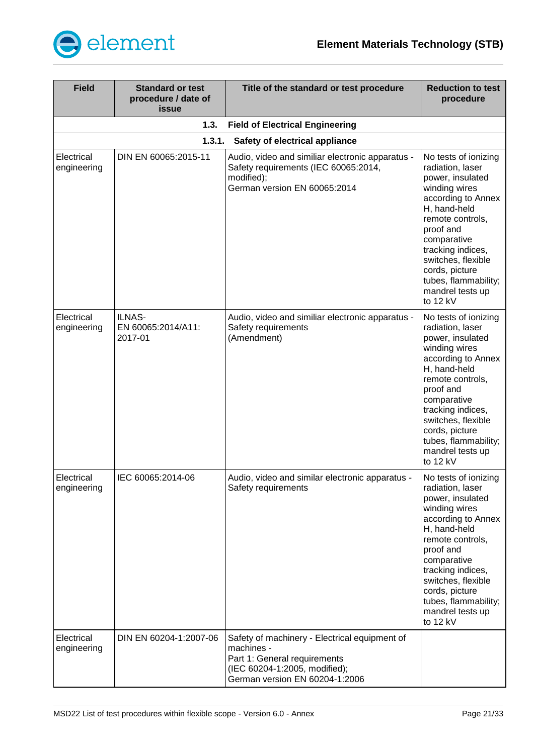

<span id="page-20-1"></span><span id="page-20-0"></span>

| <b>Field</b>              | <b>Standard or test</b><br>procedure / date of<br>issue | Title of the standard or test procedure                                                                                                                        | <b>Reduction to test</b><br>procedure                                                                                                                                                                                                                                                    |
|---------------------------|---------------------------------------------------------|----------------------------------------------------------------------------------------------------------------------------------------------------------------|------------------------------------------------------------------------------------------------------------------------------------------------------------------------------------------------------------------------------------------------------------------------------------------|
|                           | 1.3.                                                    | <b>Field of Electrical Engineering</b>                                                                                                                         |                                                                                                                                                                                                                                                                                          |
|                           | 1.3.1.                                                  | Safety of electrical appliance                                                                                                                                 |                                                                                                                                                                                                                                                                                          |
| Electrical<br>engineering | DIN EN 60065:2015-11                                    | Audio, video and similiar electronic apparatus -<br>Safety requirements (IEC 60065:2014,<br>modified);<br>German version EN 60065:2014                         | No tests of ionizing<br>radiation, laser<br>power, insulated<br>winding wires<br>according to Annex<br>H, hand-held<br>remote controls,<br>proof and<br>comparative<br>tracking indices,<br>switches, flexible<br>cords, picture<br>tubes, flammability;<br>mandrel tests up<br>to 12 kV |
| Electrical<br>engineering | ILNAS-<br>EN 60065:2014/A11:<br>2017-01                 | Audio, video and similiar electronic apparatus -<br>Safety requirements<br>(Amendment)                                                                         | No tests of ionizing<br>radiation, laser<br>power, insulated<br>winding wires<br>according to Annex<br>H, hand-held<br>remote controls,<br>proof and<br>comparative<br>tracking indices,<br>switches, flexible<br>cords, picture<br>tubes, flammability;<br>mandrel tests up<br>to 12 kV |
| Electrical<br>engineering | IEC 60065:2014-06                                       | Audio, video and similar electronic apparatus -<br>Safety requirements                                                                                         | No tests of ionizing<br>radiation, laser<br>power, insulated<br>winding wires<br>according to Annex<br>H, hand-held<br>remote controls,<br>proof and<br>comparative<br>tracking indices,<br>switches, flexible<br>cords, picture<br>tubes, flammability;<br>mandrel tests up<br>to 12 kV |
| Electrical<br>engineering | DIN EN 60204-1:2007-06                                  | Safety of machinery - Electrical equipment of<br>machines -<br>Part 1: General requirements<br>(IEC 60204-1:2005, modified);<br>German version EN 60204-1:2006 |                                                                                                                                                                                                                                                                                          |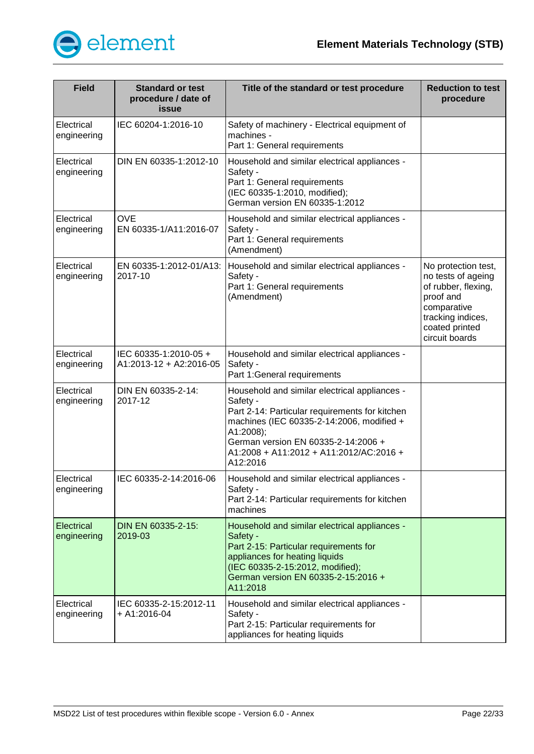

| <b>Field</b>                     | <b>Standard or test</b><br>procedure / date of<br>issue | Title of the standard or test procedure                                                                                                                                                                                                                             | <b>Reduction to test</b><br>procedure                                                                                                                 |
|----------------------------------|---------------------------------------------------------|---------------------------------------------------------------------------------------------------------------------------------------------------------------------------------------------------------------------------------------------------------------------|-------------------------------------------------------------------------------------------------------------------------------------------------------|
| Electrical<br>engineering        | IEC 60204-1:2016-10                                     | Safety of machinery - Electrical equipment of<br>machines -<br>Part 1: General requirements                                                                                                                                                                         |                                                                                                                                                       |
| Electrical<br>engineering        | DIN EN 60335-1:2012-10                                  | Household and similar electrical appliances -<br>Safety -<br>Part 1: General requirements<br>(IEC 60335-1:2010, modified);<br>German version EN 60335-1:2012                                                                                                        |                                                                                                                                                       |
| Electrical<br>engineering        | <b>OVE</b><br>EN 60335-1/A11:2016-07                    | Household and similar electrical appliances -<br>Safety -<br>Part 1: General requirements<br>(Amendment)                                                                                                                                                            |                                                                                                                                                       |
| Electrical<br>engineering        | EN 60335-1:2012-01/A13:<br>2017-10                      | Household and similar electrical appliances -<br>Safety -<br>Part 1: General requirements<br>(Amendment)                                                                                                                                                            | No protection test,<br>no tests of ageing<br>of rubber, flexing,<br>proof and<br>comparative<br>tracking indices,<br>coated printed<br>circuit boards |
| Electrical<br>engineering        | IEC 60335-1:2010-05 +<br>A1:2013-12 + A2:2016-05        | Household and similar electrical appliances -<br>Safety -<br>Part 1: General requirements                                                                                                                                                                           |                                                                                                                                                       |
| Electrical<br>engineering        | DIN EN 60335-2-14:<br>2017-12                           | Household and similar electrical appliances -<br>Safety -<br>Part 2-14: Particular requirements for kitchen<br>machines (IEC 60335-2-14:2006, modified +<br>A1:2008);<br>German version EN 60335-2-14:2006 +<br>A1:2008 + A11:2012 + A11:2012/AC:2016 +<br>A12:2016 |                                                                                                                                                       |
| Electrical<br>engineering        | IEC 60335-2-14:2016-06                                  | Household and similar electrical appliances -<br>Safety -<br>Part 2-14: Particular requirements for kitchen<br>machines                                                                                                                                             |                                                                                                                                                       |
| <b>Electrical</b><br>engineering | DIN EN 60335-2-15:<br>2019-03                           | Household and similar electrical appliances -<br>Safety -<br>Part 2-15: Particular requirements for<br>appliances for heating liquids<br>(IEC 60335-2-15:2012, modified);<br>German version EN 60335-2-15:2016 +<br>A11:2018                                        |                                                                                                                                                       |
| Electrical<br>engineering        | IEC 60335-2-15:2012-11<br>$+$ A1:2016-04                | Household and similar electrical appliances -<br>Safety -<br>Part 2-15: Particular requirements for<br>appliances for heating liquids                                                                                                                               |                                                                                                                                                       |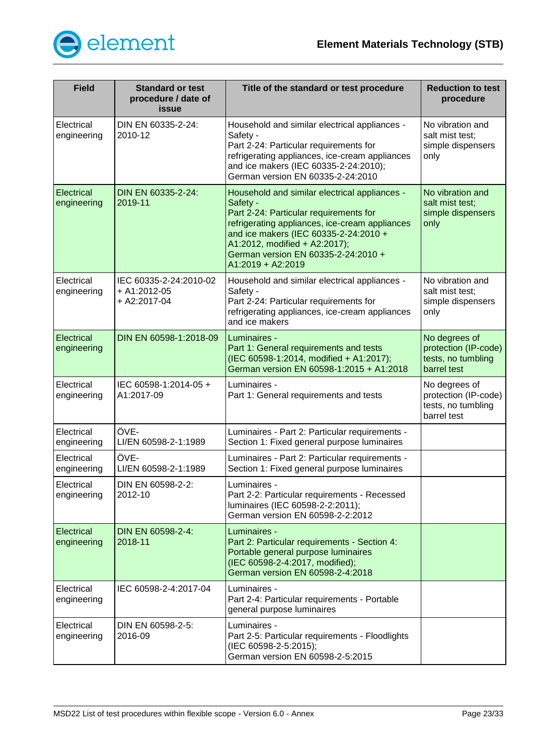

| <b>Field</b>                     | <b>Standard or test</b><br>procedure / date of<br>issue    | Title of the standard or test procedure                                                                                                                                                                                                                                                     | <b>Reduction to test</b><br>procedure                                      |
|----------------------------------|------------------------------------------------------------|---------------------------------------------------------------------------------------------------------------------------------------------------------------------------------------------------------------------------------------------------------------------------------------------|----------------------------------------------------------------------------|
| Electrical<br>engineering        | DIN EN 60335-2-24:<br>2010-12                              | Household and similar electrical appliances -<br>Safety -<br>Part 2-24: Particular requirements for<br>refrigerating appliances, ice-cream appliances<br>and ice makers (IEC 60335-2-24:2010);<br>German version EN 60335-2-24:2010                                                         | No vibration and<br>salt mist test;<br>simple dispensers<br>only           |
| Electrical<br>engineering        | DIN EN 60335-2-24:<br>2019-11                              | Household and similar electrical appliances -<br>Safety -<br>Part 2-24: Particular requirements for<br>refrigerating appliances, ice-cream appliances<br>and ice makers (IEC 60335-2-24:2010 +<br>A1:2012, modified + A2:2017);<br>German version EN 60335-2-24:2010 +<br>A1:2019 + A2:2019 | No vibration and<br>salt mist test:<br>simple dispensers<br>only           |
| Electrical<br>engineering        | IEC 60335-2-24:2010-02<br>$+$ A1:2012-05<br>$+$ A2:2017-04 | Household and similar electrical appliances -<br>Safety -<br>Part 2-24: Particular requirements for<br>refrigerating appliances, ice-cream appliances<br>and ice makers                                                                                                                     | No vibration and<br>salt mist test;<br>simple dispensers<br>only           |
| Electrical<br>engineering        | DIN EN 60598-1:2018-09                                     | Luminaires -<br>Part 1: General requirements and tests<br>(IEC 60598-1:2014, modified + A1:2017);<br>German version EN 60598-1:2015 + A1:2018                                                                                                                                               | No degrees of<br>protection (IP-code)<br>tests, no tumbling<br>barrel test |
| Electrical<br>engineering        | IEC 60598-1:2014-05 +<br>A1:2017-09                        | Luminaires -<br>Part 1: General requirements and tests                                                                                                                                                                                                                                      | No degrees of<br>protection (IP-code)<br>tests, no tumbling<br>barrel test |
| Electrical<br>engineering        | ÖVE-<br>LI/EN 60598-2-1:1989                               | Luminaires - Part 2: Particular requirements -<br>Section 1: Fixed general purpose luminaires                                                                                                                                                                                               |                                                                            |
| Electrical<br>engineering        | ÖVE-<br>LI/EN 60598-2-1:1989                               | Luminaires - Part 2: Particular requirements -<br>Section 1: Fixed general purpose luminaires                                                                                                                                                                                               |                                                                            |
| Electrical<br>engineering        | DIN EN 60598-2-2:<br>2012-10                               | Luminaires -<br>Part 2-2: Particular requirements - Recessed<br>luminaires (IEC 60598-2-2:2011);<br>German version EN 60598-2-2:2012                                                                                                                                                        |                                                                            |
| <b>Electrical</b><br>engineering | DIN EN 60598-2-4:<br>2018-11                               | Luminaires -<br>Part 2: Particular requirements - Section 4:<br>Portable general purpose luminaires<br>(IEC 60598-2-4:2017, modified);<br>German version EN 60598-2-4:2018                                                                                                                  |                                                                            |
| Electrical<br>engineering        | IEC 60598-2-4:2017-04                                      | Luminaires -<br>Part 2-4: Particular requirements - Portable<br>general purpose luminaires                                                                                                                                                                                                  |                                                                            |
| Electrical<br>engineering        | DIN EN 60598-2-5:<br>2016-09                               | Luminaires -<br>Part 2-5: Particular requirements - Floodlights<br>(IEC 60598-2-5:2015);<br>German version EN 60598-2-5:2015                                                                                                                                                                |                                                                            |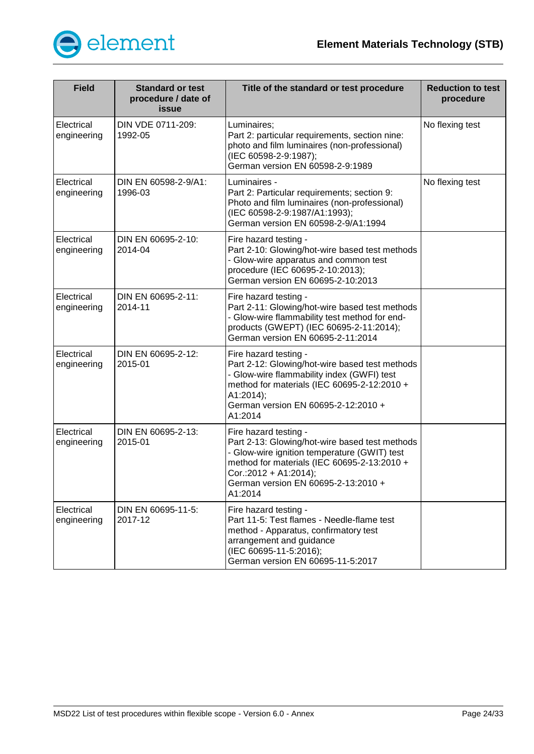

| <b>Field</b>              | <b>Standard or test</b><br>procedure / date of<br>issue | Title of the standard or test procedure                                                                                                                                                                                                           | <b>Reduction to test</b><br>procedure |
|---------------------------|---------------------------------------------------------|---------------------------------------------------------------------------------------------------------------------------------------------------------------------------------------------------------------------------------------------------|---------------------------------------|
| Electrical<br>engineering | DIN VDE 0711-209:<br>1992-05                            | Luminaires;<br>Part 2: particular requirements, section nine:<br>photo and film luminaires (non-professional)<br>(IEC 60598-2-9:1987);<br>German version EN 60598-2-9:1989                                                                        | No flexing test                       |
| Electrical<br>engineering | DIN EN 60598-2-9/A1:<br>1996-03                         | Luminaires -<br>Part 2: Particular requirements; section 9:<br>Photo and film luminaires (non-professional)<br>(IEC 60598-2-9:1987/A1:1993);<br>German version EN 60598-2-9/A1:1994                                                               | No flexing test                       |
| Electrical<br>engineering | DIN EN 60695-2-10:<br>2014-04                           | Fire hazard testing -<br>Part 2-10: Glowing/hot-wire based test methods<br>- Glow-wire apparatus and common test<br>procedure (IEC 60695-2-10:2013);<br>German version EN 60695-2-10:2013                                                         |                                       |
| Electrical<br>engineering | DIN EN 60695-2-11:<br>2014-11                           | Fire hazard testing -<br>Part 2-11: Glowing/hot-wire based test methods<br>- Glow-wire flammability test method for end-<br>products (GWEPT) (IEC 60695-2-11:2014);<br>German version EN 60695-2-11:2014                                          |                                       |
| Electrical<br>engineering | DIN EN 60695-2-12:<br>2015-01                           | Fire hazard testing -<br>Part 2-12: Glowing/hot-wire based test methods<br>- Glow-wire flammability index (GWFI) test<br>method for materials (IEC 60695-2-12:2010 +<br>A1:2014);<br>German version EN 60695-2-12:2010 +<br>A1:2014               |                                       |
| Electrical<br>engineering | DIN EN 60695-2-13:<br>2015-01                           | Fire hazard testing -<br>Part 2-13: Glowing/hot-wire based test methods<br>- Glow-wire ignition temperature (GWIT) test<br>method for materials (IEC 60695-2-13:2010 +<br>Cor.:2012 + A1:2014);<br>German version EN 60695-2-13:2010 +<br>A1:2014 |                                       |
| Electrical<br>engineering | DIN EN 60695-11-5:<br>2017-12                           | Fire hazard testing -<br>Part 11-5: Test flames - Needle-flame test<br>method - Apparatus, confirmatory test<br>arrangement and guidance<br>(IEC 60695-11-5:2016);<br>German version EN 60695-11-5:2017                                           |                                       |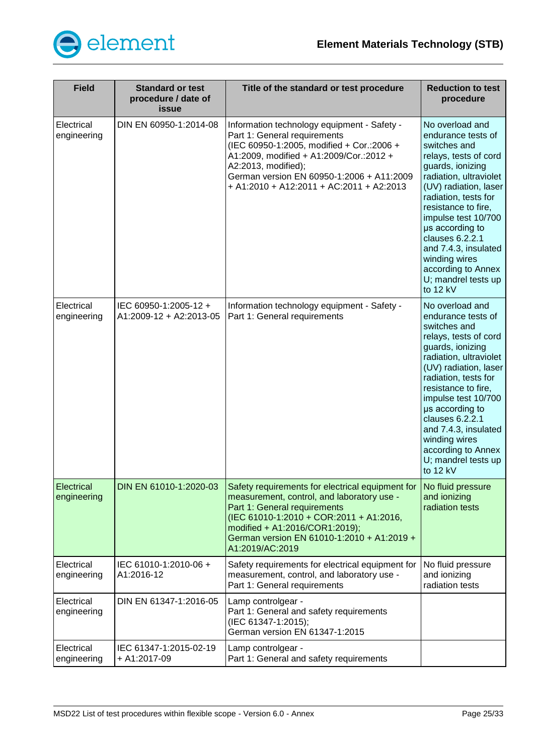

| <b>Field</b>              | <b>Standard or test</b><br>procedure / date of<br><b>issue</b> | Title of the standard or test procedure                                                                                                                                                                                                                                             | <b>Reduction to test</b><br>procedure                                                                                                                                                                                                                                                                                                                               |
|---------------------------|----------------------------------------------------------------|-------------------------------------------------------------------------------------------------------------------------------------------------------------------------------------------------------------------------------------------------------------------------------------|---------------------------------------------------------------------------------------------------------------------------------------------------------------------------------------------------------------------------------------------------------------------------------------------------------------------------------------------------------------------|
| Electrical<br>engineering | DIN EN 60950-1:2014-08                                         | Information technology equipment - Safety -<br>Part 1: General requirements<br>(IEC 60950-1:2005, modified + Cor.:2006 +<br>A1:2009, modified + A1:2009/Cor.:2012 +<br>A2:2013, modified);<br>German version EN 60950-1:2006 + A11:2009<br>+ A1:2010 + A12:2011 + AC:2011 + A2:2013 | No overload and<br>endurance tests of<br>switches and<br>relays, tests of cord<br>guards, ionizing<br>radiation, ultraviolet<br>(UV) radiation, laser<br>radiation, tests for<br>resistance to fire,<br>impulse test 10/700<br>µs according to<br>clauses 6.2.2.1<br>and 7.4.3, insulated<br>winding wires<br>according to Annex<br>U; mandrel tests up<br>to 12 kV |
| Electrical<br>engineering | IEC 60950-1:2005-12 +<br>A1:2009-12 + A2:2013-05               | Information technology equipment - Safety -<br>Part 1: General requirements                                                                                                                                                                                                         | No overload and<br>endurance tests of<br>switches and<br>relays, tests of cord<br>guards, ionizing<br>radiation, ultraviolet<br>(UV) radiation, laser<br>radiation, tests for<br>resistance to fire,<br>impulse test 10/700<br>µs according to<br>clauses 6.2.2.1<br>and 7.4.3, insulated<br>winding wires<br>according to Annex<br>U; mandrel tests up<br>to 12 kV |
| Electrical<br>engineering | DIN EN 61010-1:2020-03                                         | Safety requirements for electrical equipment for<br>measurement, control, and laboratory use -<br>Part 1: General requirements<br>(IEC 61010-1:2010 + COR:2011 + A1:2016,<br>modified + A1:2016/COR1:2019);<br>German version EN 61010-1:2010 + A1:2019 +<br>A1:2019/AC:2019        | No fluid pressure<br>and ionizing<br>radiation tests                                                                                                                                                                                                                                                                                                                |
| Electrical<br>engineering | IEC 61010-1:2010-06+<br>A1:2016-12                             | Safety requirements for electrical equipment for<br>measurement, control, and laboratory use -<br>Part 1: General requirements                                                                                                                                                      | No fluid pressure<br>and ionizing<br>radiation tests                                                                                                                                                                                                                                                                                                                |
| Electrical<br>engineering | DIN EN 61347-1:2016-05                                         | Lamp controlgear -<br>Part 1: General and safety requirements<br>(IEC 61347-1:2015);<br>German version EN 61347-1:2015                                                                                                                                                              |                                                                                                                                                                                                                                                                                                                                                                     |
| Electrical<br>engineering | IEC 61347-1:2015-02-19<br>+ A1:2017-09                         | Lamp controlgear -<br>Part 1: General and safety requirements                                                                                                                                                                                                                       |                                                                                                                                                                                                                                                                                                                                                                     |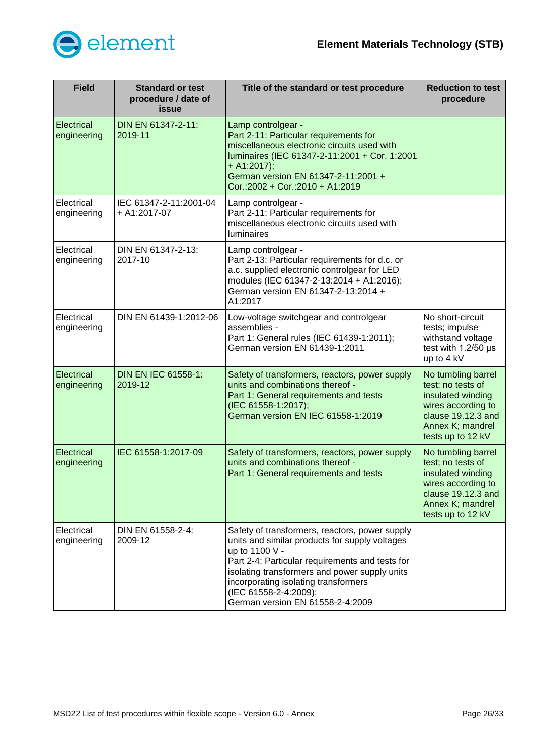

| <b>Field</b>                     | <b>Standard or test</b><br>procedure / date of<br>issue | Title of the standard or test procedure                                                                                                                                                                                                                                                                                     | <b>Reduction to test</b><br>procedure                                                                                                             |
|----------------------------------|---------------------------------------------------------|-----------------------------------------------------------------------------------------------------------------------------------------------------------------------------------------------------------------------------------------------------------------------------------------------------------------------------|---------------------------------------------------------------------------------------------------------------------------------------------------|
| <b>Electrical</b><br>engineering | DIN EN 61347-2-11:<br>2019-11                           | Lamp controlgear -<br>Part 2-11: Particular requirements for<br>miscellaneous electronic circuits used with<br>luminaires (IEC 61347-2-11:2001 + Cor. 1:2001<br>$+ A1:2017);$<br>German version EN 61347-2-11:2001 +<br>Cor.:2002 + Cor.:2010 + A1:2019                                                                     |                                                                                                                                                   |
| Electrical<br>engineering        | IEC 61347-2-11:2001-04<br>+ A1:2017-07                  | Lamp controlgear -<br>Part 2-11: Particular requirements for<br>miscellaneous electronic circuits used with<br><b>luminaires</b>                                                                                                                                                                                            |                                                                                                                                                   |
| Electrical<br>engineering        | DIN EN 61347-2-13:<br>2017-10                           | Lamp controlgear -<br>Part 2-13: Particular requirements for d.c. or<br>a.c. supplied electronic controlgear for LED<br>modules (IEC 61347-2-13:2014 + A1:2016);<br>German version EN 61347-2-13:2014 +<br>A1:2017                                                                                                          |                                                                                                                                                   |
| Electrical<br>engineering        | DIN EN 61439-1:2012-06                                  | Low-voltage switchgear and controlgear<br>assemblies -<br>Part 1: General rules (IEC 61439-1:2011);<br>German version EN 61439-1:2011                                                                                                                                                                                       | No short-circuit<br>tests; impulse<br>withstand voltage<br>test with 1.2/50 µs<br>up to 4 kV                                                      |
| Electrical<br>engineering        | <b>DIN EN IEC 61558-1:</b><br>2019-12                   | Safety of transformers, reactors, power supply<br>units and combinations thereof -<br>Part 1: General requirements and tests<br>(IEC 61558-1:2017);<br>German version EN IEC 61558-1:2019                                                                                                                                   | No tumbling barrel<br>test; no tests of<br>insulated winding<br>wires according to<br>clause 19.12.3 and<br>Annex K; mandrel<br>tests up to 12 kV |
| Electrical<br>engineering        | IEC 61558-1:2017-09                                     | Safety of transformers, reactors, power supply<br>units and combinations thereof -<br>Part 1: General requirements and tests                                                                                                                                                                                                | No tumbling barrel<br>test; no tests of<br>insulated winding<br>wires according to<br>clause 19.12.3 and<br>Annex K; mandrel<br>tests up to 12 kV |
| Electrical<br>engineering        | DIN EN 61558-2-4:<br>2009-12                            | Safety of transformers, reactors, power supply<br>units and similar products for supply voltages<br>up to 1100 V -<br>Part 2-4: Particular requirements and tests for<br>isolating transformers and power supply units<br>incorporating isolating transformers<br>(IEC 61558-2-4:2009);<br>German version EN 61558-2-4:2009 |                                                                                                                                                   |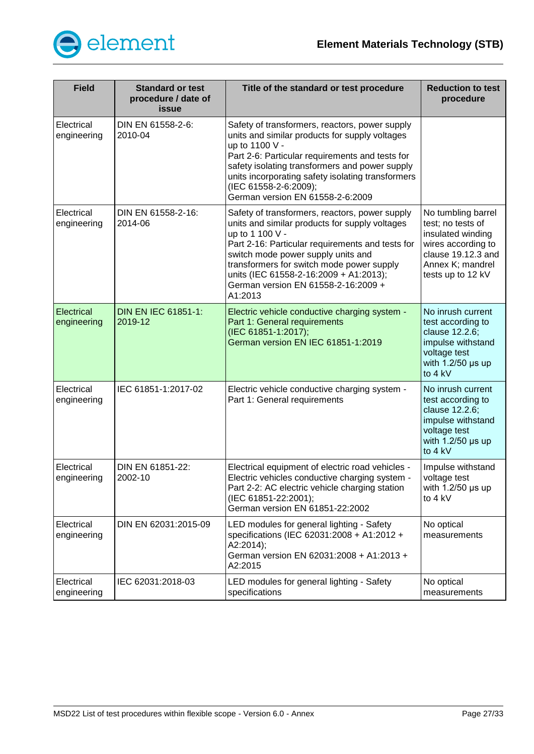

| <b>Field</b>                     | <b>Standard or test</b><br>procedure / date of<br>issue | Title of the standard or test procedure                                                                                                                                                                                                                                                                                                                | <b>Reduction to test</b><br>procedure                                                                                                             |
|----------------------------------|---------------------------------------------------------|--------------------------------------------------------------------------------------------------------------------------------------------------------------------------------------------------------------------------------------------------------------------------------------------------------------------------------------------------------|---------------------------------------------------------------------------------------------------------------------------------------------------|
| Electrical<br>engineering        | DIN EN 61558-2-6:<br>2010-04                            | Safety of transformers, reactors, power supply<br>units and similar products for supply voltages<br>up to 1100 V -<br>Part 2-6: Particular requirements and tests for<br>safety isolating transformers and power supply<br>units incorporating safety isolating transformers<br>(IEC 61558-2-6:2009);<br>German version EN 61558-2-6:2009              |                                                                                                                                                   |
| Electrical<br>engineering        | DIN EN 61558-2-16:<br>2014-06                           | Safety of transformers, reactors, power supply<br>units and similar products for supply voltages<br>up to 1 100 V -<br>Part 2-16: Particular requirements and tests for<br>switch mode power supply units and<br>transformers for switch mode power supply<br>units (IEC 61558-2-16:2009 + A1:2013);<br>German version EN 61558-2-16:2009 +<br>A1:2013 | No tumbling barrel<br>test; no tests of<br>insulated winding<br>wires according to<br>clause 19.12.3 and<br>Annex K; mandrel<br>tests up to 12 kV |
| <b>Electrical</b><br>engineering | <b>DIN EN IEC 61851-1:</b><br>2019-12                   | Electric vehicle conductive charging system -<br>Part 1: General requirements<br>(IEC 61851-1:2017);<br>German version EN IEC 61851-1:2019                                                                                                                                                                                                             | No inrush current<br>test according to<br>clause 12.2.6;<br>impulse withstand<br>voltage test<br>with $1.2/50$ µs up<br>to 4 kV                   |
| Electrical<br>engineering        | IEC 61851-1:2017-02                                     | Electric vehicle conductive charging system -<br>Part 1: General requirements                                                                                                                                                                                                                                                                          | No inrush current<br>test according to<br>clause 12.2.6;<br>impulse withstand<br>voltage test<br>with $1.2/50$ µs up<br>to 4 kV                   |
| Electrical<br>engineering        | DIN EN 61851-22:<br>2002-10                             | Electrical equipment of electric road vehicles -<br>Electric vehicles conductive charging system -<br>Part 2-2: AC electric vehicle charging station<br>(IEC 61851-22:2001);<br>German version EN 61851-22:2002                                                                                                                                        | Impulse withstand<br>voltage test<br>with $1.2/50$ µs up<br>to $4$ kV                                                                             |
| Electrical<br>engineering        | DIN EN 62031:2015-09                                    | LED modules for general lighting - Safety<br>specifications (IEC 62031:2008 + A1:2012 +<br>A2:2014);<br>German version EN 62031:2008 + A1:2013 +<br>A2:2015                                                                                                                                                                                            | No optical<br>measurements                                                                                                                        |
| Electrical<br>engineering        | IEC 62031:2018-03                                       | LED modules for general lighting - Safety<br>specifications                                                                                                                                                                                                                                                                                            | No optical<br>measurements                                                                                                                        |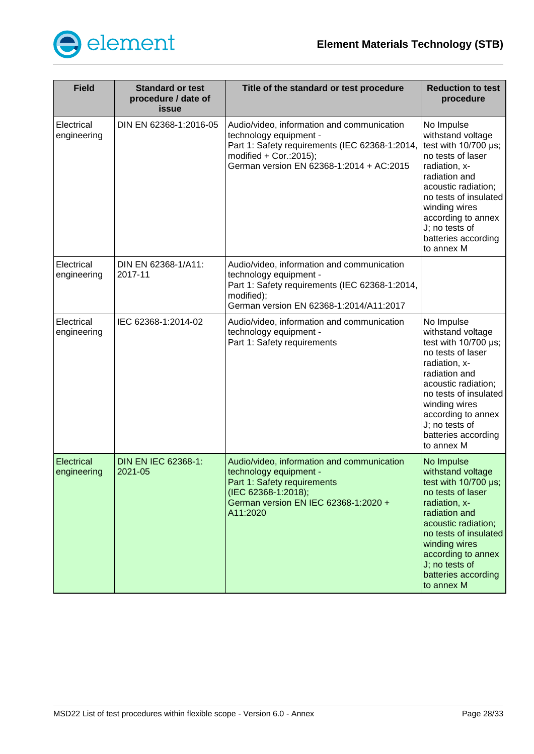

| <b>Field</b>              | <b>Standard or test</b><br>procedure / date of<br>issue | Title of the standard or test procedure                                                                                                                                                        | <b>Reduction to test</b><br>procedure                                                                                                                                                                                                                               |
|---------------------------|---------------------------------------------------------|------------------------------------------------------------------------------------------------------------------------------------------------------------------------------------------------|---------------------------------------------------------------------------------------------------------------------------------------------------------------------------------------------------------------------------------------------------------------------|
| Electrical<br>engineering | DIN EN 62368-1:2016-05                                  | Audio/video, information and communication<br>technology equipment -<br>Part 1: Safety requirements (IEC 62368-1:2014,<br>modified $+$ Cor.:2015);<br>German version EN 62368-1:2014 + AC:2015 | No Impulse<br>withstand voltage<br>test with $10/700$ $\mu$ s;<br>no tests of laser<br>radiation, x-<br>radiation and<br>acoustic radiation;<br>no tests of insulated<br>winding wires<br>according to annex<br>J; no tests of<br>batteries according<br>to annex M |
| Electrical<br>engineering | DIN EN 62368-1/A11:<br>2017-11                          | Audio/video, information and communication<br>technology equipment -<br>Part 1: Safety requirements (IEC 62368-1:2014,<br>modified);<br>German version EN 62368-1:2014/A11:2017                |                                                                                                                                                                                                                                                                     |
| Electrical<br>engineering | IEC 62368-1:2014-02                                     | Audio/video, information and communication<br>technology equipment -<br>Part 1: Safety requirements                                                                                            | No Impulse<br>withstand voltage<br>test with 10/700 µs;<br>no tests of laser<br>radiation, x-<br>radiation and<br>acoustic radiation;<br>no tests of insulated<br>winding wires<br>according to annex<br>J; no tests of<br>batteries according<br>to annex M        |
| Electrical<br>engineering | <b>DIN EN IEC 62368-1:</b><br>2021-05                   | Audio/video, information and communication<br>technology equipment -<br>Part 1: Safety requirements<br>(IEC 62368-1:2018);<br>German version EN IEC 62368-1:2020 +<br>A11:2020                 | No Impulse<br>withstand voltage<br>test with $10/700 \mu s$ ;<br>no tests of laser<br>radiation, x-<br>radiation and<br>acoustic radiation;<br>no tests of insulated<br>winding wires<br>according to annex<br>J; no tests of<br>batteries according<br>to annex M  |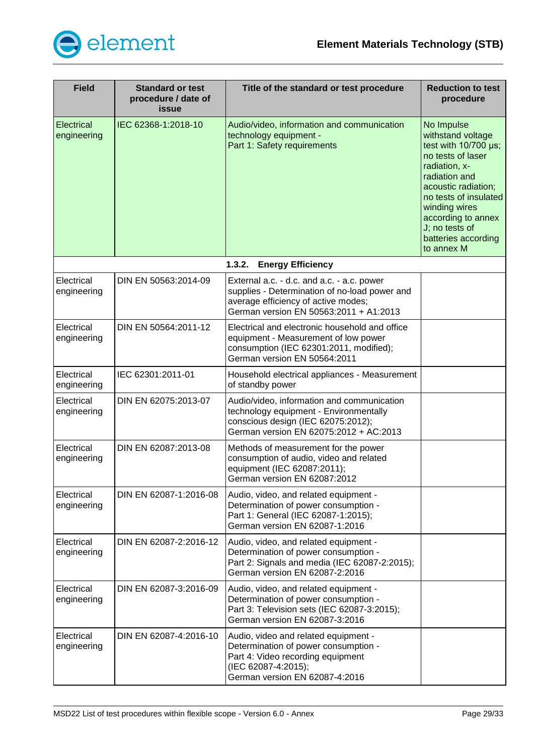

<span id="page-28-0"></span>

| <b>Field</b>              | <b>Standard or test</b><br>procedure / date of<br>issue | Title of the standard or test procedure                                                                                                                                      | <b>Reduction to test</b><br>procedure                                                                                                                                                                                                                        |
|---------------------------|---------------------------------------------------------|------------------------------------------------------------------------------------------------------------------------------------------------------------------------------|--------------------------------------------------------------------------------------------------------------------------------------------------------------------------------------------------------------------------------------------------------------|
| Electrical<br>engineering | IEC 62368-1:2018-10                                     | Audio/video, information and communication<br>technology equipment -<br>Part 1: Safety requirements                                                                          | No Impulse<br>withstand voltage<br>test with 10/700 µs;<br>no tests of laser<br>radiation, x-<br>radiation and<br>acoustic radiation;<br>no tests of insulated<br>winding wires<br>according to annex<br>J; no tests of<br>batteries according<br>to annex M |
|                           |                                                         | 1.3.2.<br><b>Energy Efficiency</b>                                                                                                                                           |                                                                                                                                                                                                                                                              |
| Electrical<br>engineering | DIN EN 50563:2014-09                                    | External a.c. - d.c. and a.c. - a.c. power<br>supplies - Determination of no-load power and<br>average efficiency of active modes;<br>German version EN 50563:2011 + A1:2013 |                                                                                                                                                                                                                                                              |
| Electrical<br>engineering | DIN EN 50564:2011-12                                    | Electrical and electronic household and office<br>equipment - Measurement of low power<br>consumption (IEC 62301:2011, modified);<br>German version EN 50564:2011            |                                                                                                                                                                                                                                                              |
| Electrical<br>engineering | IEC 62301:2011-01                                       | Household electrical appliances - Measurement<br>of standby power                                                                                                            |                                                                                                                                                                                                                                                              |
| Electrical<br>engineering | DIN EN 62075:2013-07                                    | Audio/video, information and communication<br>technology equipment - Environmentally<br>conscious design (IEC 62075:2012);<br>German version EN 62075:2012 + AC:2013         |                                                                                                                                                                                                                                                              |
| Electrical<br>engineering | DIN EN 62087:2013-08                                    | Methods of measurement for the power<br>consumption of audio, video and related<br>equipment (IEC 62087:2011);<br>German version EN 62087:2012                               |                                                                                                                                                                                                                                                              |
| Electrical<br>engineering | DIN EN 62087-1:2016-08                                  | Audio, video, and related equipment -<br>Determination of power consumption -<br>Part 1: General (IEC 62087-1:2015);<br>German version EN 62087-1:2016                       |                                                                                                                                                                                                                                                              |
| Electrical<br>engineering | DIN EN 62087-2:2016-12                                  | Audio, video, and related equipment -<br>Determination of power consumption -<br>Part 2: Signals and media (IEC 62087-2:2015);<br>German version EN 62087-2:2016             |                                                                                                                                                                                                                                                              |
| Electrical<br>engineering | DIN EN 62087-3:2016-09                                  | Audio, video, and related equipment -<br>Determination of power consumption -<br>Part 3: Television sets (IEC 62087-3:2015);<br>German version EN 62087-3:2016               |                                                                                                                                                                                                                                                              |
| Electrical<br>engineering | DIN EN 62087-4:2016-10                                  | Audio, video and related equipment -<br>Determination of power consumption -<br>Part 4: Video recording equipment<br>(IEC 62087-4:2015);<br>German version EN 62087-4:2016   |                                                                                                                                                                                                                                                              |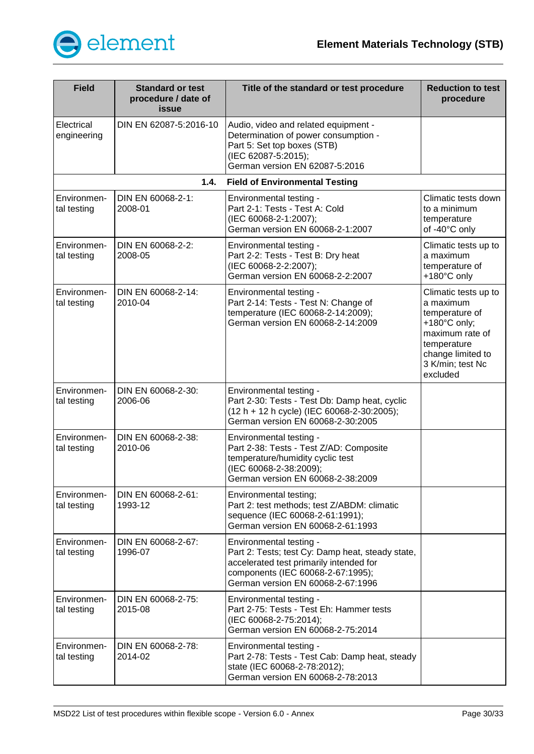

<span id="page-29-0"></span>

| <b>Field</b>               | <b>Standard or test</b><br>procedure / date of<br>issue | Title of the standard or test procedure                                                                                                                                                          | <b>Reduction to test</b><br>procedure                                                                                                                      |
|----------------------------|---------------------------------------------------------|--------------------------------------------------------------------------------------------------------------------------------------------------------------------------------------------------|------------------------------------------------------------------------------------------------------------------------------------------------------------|
| Electrical<br>engineering  | DIN EN 62087-5:2016-10                                  | Audio, video and related equipment -<br>Determination of power consumption -<br>Part 5: Set top boxes (STB)<br>(IEC 62087-5:2015);<br>German version EN 62087-5:2016                             |                                                                                                                                                            |
|                            | 1.4.                                                    | <b>Field of Environmental Testing</b>                                                                                                                                                            |                                                                                                                                                            |
| Environmen-<br>tal testing | DIN EN 60068-2-1:<br>2008-01                            | Environmental testing -<br>Part 2-1: Tests - Test A: Cold<br>(IEC 60068-2-1:2007);<br>German version EN 60068-2-1:2007                                                                           | Climatic tests down<br>to a minimum<br>temperature<br>of -40°C only                                                                                        |
| Environmen-<br>tal testing | DIN EN 60068-2-2:<br>2008-05                            | Environmental testing -<br>Part 2-2: Tests - Test B: Dry heat<br>(IEC 60068-2-2:2007);<br>German version EN 60068-2-2:2007                                                                       | Climatic tests up to<br>a maximum<br>temperature of<br>+180°C only                                                                                         |
| Environmen-<br>tal testing | DIN EN 60068-2-14:<br>2010-04                           | Environmental testing -<br>Part 2-14: Tests - Test N: Change of<br>temperature (IEC 60068-2-14:2009);<br>German version EN 60068-2-14:2009                                                       | Climatic tests up to<br>a maximum<br>temperature of<br>+180°C only;<br>maximum rate of<br>temperature<br>change limited to<br>3 K/min; test Nc<br>excluded |
| Environmen-<br>tal testing | DIN EN 60068-2-30:<br>2006-06                           | Environmental testing -<br>Part 2-30: Tests - Test Db: Damp heat, cyclic<br>(12 h + 12 h cycle) (IEC 60068-2-30:2005);<br>German version EN 60068-2-30:2005                                      |                                                                                                                                                            |
| Environmen-<br>tal testing | DIN EN 60068-2-38:<br>2010-06                           | Environmental testing -<br>Part 2-38: Tests - Test Z/AD: Composite<br>temperature/humidity cyclic test<br>(IEC 60068-2-38:2009);<br>German version EN 60068-2-38:2009                            |                                                                                                                                                            |
| Environmen-<br>tal testing | DIN EN 60068-2-61:<br>1993-12                           | Environmental testing;<br>Part 2: test methods; test Z/ABDM: climatic<br>sequence (IEC 60068-2-61:1991);<br>German version EN 60068-2-61:1993                                                    |                                                                                                                                                            |
| Environmen-<br>tal testing | DIN EN 60068-2-67:<br>1996-07                           | Environmental testing -<br>Part 2: Tests; test Cy: Damp heat, steady state,<br>accelerated test primarily intended for<br>components (IEC 60068-2-67:1995);<br>German version EN 60068-2-67:1996 |                                                                                                                                                            |
| Environmen-<br>tal testing | DIN EN 60068-2-75:<br>2015-08                           | Environmental testing -<br>Part 2-75: Tests - Test Eh: Hammer tests<br>(IEC 60068-2-75:2014);<br>German version EN 60068-2-75:2014                                                               |                                                                                                                                                            |
| Environmen-<br>tal testing | DIN EN 60068-2-78:<br>2014-02                           | Environmental testing -<br>Part 2-78: Tests - Test Cab: Damp heat, steady<br>state (IEC 60068-2-78:2012);<br>German version EN 60068-2-78:2013                                                   |                                                                                                                                                            |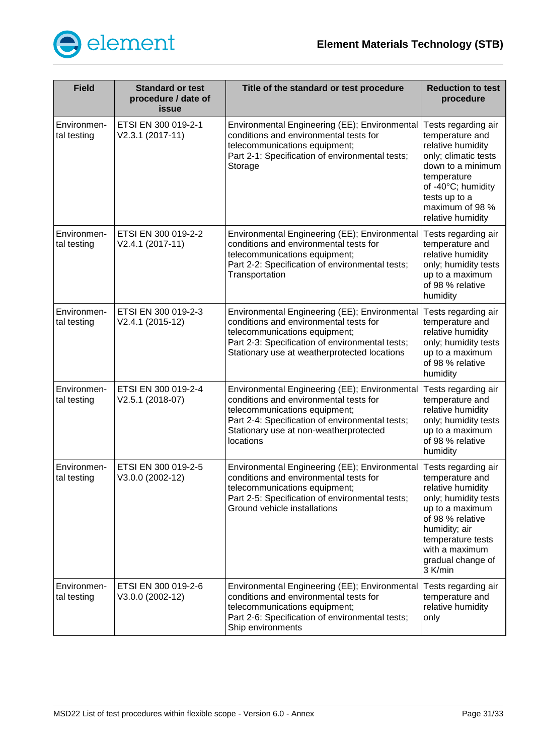

| <b>Field</b>               | <b>Standard or test</b><br>procedure / date of<br>issue | Title of the standard or test procedure                                                                                                                                                                                            | <b>Reduction to test</b><br>procedure                                                                                                                                                                              |
|----------------------------|---------------------------------------------------------|------------------------------------------------------------------------------------------------------------------------------------------------------------------------------------------------------------------------------------|--------------------------------------------------------------------------------------------------------------------------------------------------------------------------------------------------------------------|
| Environmen-<br>tal testing | ETSI EN 300 019-2-1<br>V2.3.1 (2017-11)                 | Environmental Engineering (EE); Environmental Tests regarding air<br>conditions and environmental tests for<br>telecommunications equipment;<br>Part 2-1: Specification of environmental tests;<br>Storage                         | temperature and<br>relative humidity<br>only; climatic tests<br>down to a minimum<br>temperature<br>of -40°C; humidity<br>tests up to a<br>maximum of 98 %<br>relative humidity                                    |
| Environmen-<br>tal testing | ETSI EN 300 019-2-2<br>V2.4.1 (2017-11)                 | Environmental Engineering (EE); Environmental<br>conditions and environmental tests for<br>telecommunications equipment;<br>Part 2-2: Specification of environmental tests;<br>Transportation                                      | Tests regarding air<br>temperature and<br>relative humidity<br>only; humidity tests<br>up to a maximum<br>of 98 % relative<br>humidity                                                                             |
| Environmen-<br>tal testing | ETSI EN 300 019-2-3<br>V2.4.1 (2015-12)                 | Environmental Engineering (EE); Environmental<br>conditions and environmental tests for<br>telecommunications equipment;<br>Part 2-3: Specification of environmental tests;<br>Stationary use at weatherprotected locations        | Tests regarding air<br>temperature and<br>relative humidity<br>only; humidity tests<br>up to a maximum<br>of 98 % relative<br>humidity                                                                             |
| Environmen-<br>tal testing | ETSI EN 300 019-2-4<br>V2.5.1 (2018-07)                 | Environmental Engineering (EE); Environmental<br>conditions and environmental tests for<br>telecommunications equipment;<br>Part 2-4: Specification of environmental tests;<br>Stationary use at non-weatherprotected<br>locations | Tests regarding air<br>temperature and<br>relative humidity<br>only; humidity tests<br>up to a maximum<br>of 98 % relative<br>humidity                                                                             |
| Environmen-<br>tal testing | ETSI EN 300 019-2-5<br>V3.0.0 (2002-12)                 | Environmental Engineering (EE); Environmental<br>conditions and environmental tests for<br>telecommunications equipment;<br>Part 2-5: Specification of environmental tests;<br>Ground vehicle installations                        | Tests regarding air<br>temperature and<br>relative humidity<br>only; humidity tests<br>up to a maximum<br>of 98 % relative<br>humidity; air<br>temperature tests<br>with a maximum<br>gradual change of<br>3 K/min |
| Environmen-<br>tal testing | ETSI EN 300 019-2-6<br>V3.0.0 (2002-12)                 | Environmental Engineering (EE); Environmental<br>conditions and environmental tests for<br>telecommunications equipment;<br>Part 2-6: Specification of environmental tests;<br>Ship environments                                   | Tests regarding air<br>temperature and<br>relative humidity<br>only                                                                                                                                                |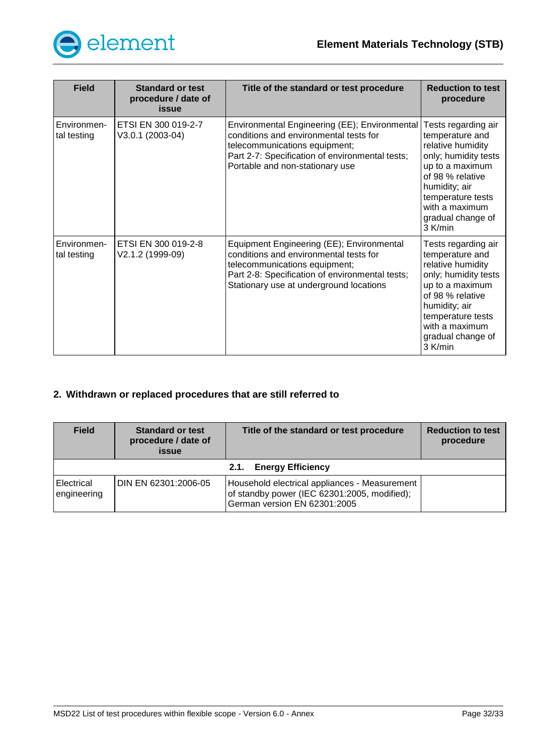

| <b>Field</b>               | <b>Standard or test</b><br>procedure / date of<br>issue | Title of the standard or test procedure                                                                                                                                                                            | <b>Reduction to test</b><br>procedure                                                                                                                                                                              |
|----------------------------|---------------------------------------------------------|--------------------------------------------------------------------------------------------------------------------------------------------------------------------------------------------------------------------|--------------------------------------------------------------------------------------------------------------------------------------------------------------------------------------------------------------------|
| Environmen-<br>tal testing | ETSI EN 300 019-2-7<br>V3.0.1 (2003-04)                 | Environmental Engineering (EE); Environmental<br>conditions and environmental tests for<br>telecommunications equipment;<br>Part 2-7: Specification of environmental tests;<br>Portable and non-stationary use     | Tests regarding air<br>temperature and<br>relative humidity<br>only; humidity tests<br>up to a maximum<br>of 98 % relative<br>humidity; air<br>temperature tests<br>with a maximum<br>gradual change of<br>3 K/min |
| Environmen-<br>tal testing | ETSI EN 300 019-2-8<br>V2.1.2 (1999-09)                 | Equipment Engineering (EE); Environmental<br>conditions and environmental tests for<br>telecommunications equipment;<br>Part 2-8: Specification of environmental tests;<br>Stationary use at underground locations | Tests regarding air<br>temperature and<br>relative humidity<br>only; humidity tests<br>up to a maximum<br>of 98 % relative<br>humidity; air<br>temperature tests<br>with a maximum<br>gradual change of<br>3 K/min |

# <span id="page-31-0"></span>**2. Withdrawn or replaced procedures that are still referred to**

<span id="page-31-1"></span>

| <b>Field</b>                     | <b>Standard or test</b><br>procedure / date of<br><b>issue</b> | Title of the standard or test procedure                                                                                       | <b>Reduction to test</b><br>procedure |  |  |
|----------------------------------|----------------------------------------------------------------|-------------------------------------------------------------------------------------------------------------------------------|---------------------------------------|--|--|
| <b>Energy Efficiency</b><br>2.1. |                                                                |                                                                                                                               |                                       |  |  |
| Electrical<br>engineering        | DIN EN 62301:2006-05                                           | Household electrical appliances - Measurement<br>of standby power (IEC 62301:2005, modified);<br>German version EN 62301:2005 |                                       |  |  |